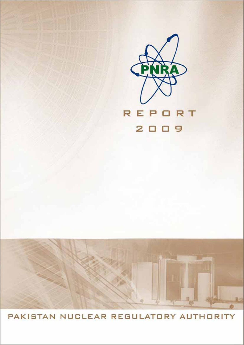

PAKISTAN NUCLEAR REGULATORY AUTHORITY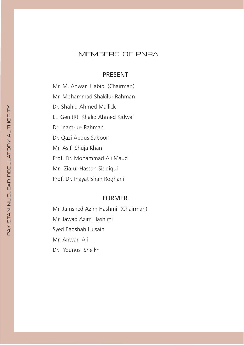## MEMBERS OF PNRA

## **PRESENT**

Mr. M. Anwar Habib (Chairman) Mr. Mohammad Shakilur Rahman Dr. Shahid Ahmed Mallick Lt. Gen.(R) Khalid Ahmed Kidwai Dr. Inam-ur-Rahman Dr. Qazi Abdus Saboor Mr. Asif Shuja Khan Prof. Dr. Mohammad Ali Maud Mr. Zia-ul-Hassan Siddiqui Prof. Dr. Inayat Shah Roghani

## **FORMER**

Mr. Jamshed Azim Hashmi (Chairman) Mr. Jawad Azim Hashimi Syed Badshah Husain Mr. Anwar Ali Dr. Younus Sheikh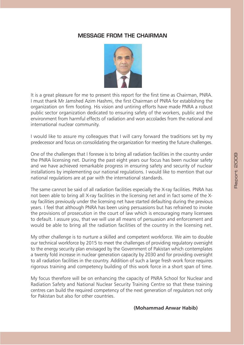## **MESSAGE FROM THE CHAIRMAN**



It is a great pleasure for me to present this report for the first time as Chairman, PNRA. I must thank Mr Jamshed Azim Hashmi, the first Chairman of PNRA for establishing the organization on firm footing. His vision and untiring efforts have made PNRA a robust public sector organization dedicated to ensuring safety of the workers, public and the environment from harmful effects of radiation and won accolades from the national and international nuclear community.

I would like to assure my colleagues that I will carry forward the traditions set by my predecessor and focus on consolidating the organization for meeting the future challenges.

One of the challenges that I foresee is to bring all radiation facilities in the country under the PNRA licensing net. During the past eight years our focus has been nuclear safety and we have achieved remarkable progress in ensuring safety and security of nuclear installations by implementing our national regulations. I would like to mention that our national regulations are at par with the international standards.

The same cannot be said of all radiation facilities especially the X-ray facilities. PNRA has not been able to bring all X-ray facilities in the licensing net and in fact some of the Xray facilities previously under the licensing net have started defaulting during the previous years. I feel that although PNRA has been using persuasions but has refrained to invoke the provisions of prosecution in the court of law which is encouraging many licensees to default. I assure you, that we will use all means of persuasion and enforcement and would be able to bring all the radiation facilities of the country in the licensing net.

My other challenge is to nurture a skilled and competent workforce. We aim to double our technical workforce by 2015 to meet the challenges of providing regulatory oversight to the energy security plan envisaged by the Government of Pakistan which contemplates a twenty fold increase in nuclear generation capacity by 2030 and for providing oversight to all radiation facilities in the country. Addition of such a large fresh work force requires rigorous training and competency building of this work force in a short span of time.

My focus therefore will be on enhancing the capacity of PNRA School for Nuclear and Radiation Safety and National Nuclear Security Training Centre so that these training centres can build the required competency of the next generation of regulators not only for Pakistan but also for other countries.

(Mohammad Anwar Habib)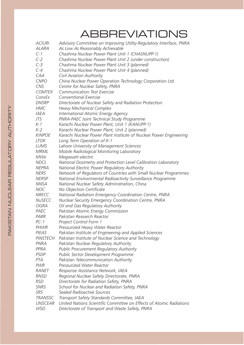# **ABBREVIATIONS**

| <b>ACIURI</b>  | Advisory Committee on Improving Utility-Regulatory Interface, PNRA  |
|----------------|---------------------------------------------------------------------|
| ALARA          | As Low As Reasonably Achievable                                     |
| $C-1$          | Chashma Nuclear Power Plant Unit 1 (CHASNUPP-1)                     |
| $C-2$          | Chashma Nuclear Power Plant Unit 2 (under construction)             |
| $C-3$          | Chashma Nuclear Power Plant Unit 3 (planned)                        |
| $C-4$          | Chashma Nuclear Power Plant Unit 4 (planned)                        |
| CAA            | Civil Aviation Authority                                            |
| <b>CNPO</b>    | China Nuclear Power Operation Technology Corporation Ltd.           |
| <b>CNS</b>     | Centre for Nuclear Safety, PNRA                                     |
| <b>COMTEX</b>  | <b>Communication Test Exercise</b>                                  |
| ConvEx         | Conventional Exercise                                               |
| <b>DNSRP</b>   | Directorate of Nuclear Safety and Radiation Protection              |
| <b>HMC</b>     | <b>Heavy Mechanical Complex</b>                                     |
| <b>IAEA</b>    | International Atomic Energy Agency                                  |
| JTS            | PNRA-PAEC Joint Technical Study Programme                           |
| $K-1$          | Karachi Nuclear Power Plant, Unit 1 (KANUPP-1)                      |
| $K-2$          | Karachi Nuclear Power Plant, Unit 2 (planned)                       |
| <b>KINPOE</b>  | Karachi Nuclear Power Plant Institute of Nuclear Power Engineering  |
| <b>LTOK</b>    | Long Term Operation of K-1                                          |
| LUMS           | Lahore University of Management Sciences                            |
| <b>MRML</b>    | Mobile Radiological Monitoring Laboratory                           |
| <b>MWe</b>     | Megawatt-electric                                                   |
| <b>NDCL</b>    | National Dosimetry and Protection Level Calibration Laboratory      |
| <b>NEPRA</b>   | National Electric Power Regulatory Authority                        |
| <b>NERS</b>    | Network of Regulators of Countries with Small Nuclear Programmes    |
| <b>NERSP</b>   | National Environmental Radioactivity Surveillance Programme         |
| <b>NNSA</b>    | National Nuclear Safety Administration, China                       |
| <b>NOC</b>     | No Objection Certificate                                            |
| <b>NRECC</b>   | National Radiation Emergency Coordination Centre, PNRA              |
| <b>NuSECC</b>  | Nuclear Security Emergency Coordination Centre, PNRA                |
| <b>OGRA</b>    | Oil and Gas Regulatory Authority                                    |
| PAEC           | Pakistan Atomic Energy Commission                                   |
| PARR           | Pakistan Research Reactor                                           |
| $PC-1$         | Project Control Form 1                                              |
| <i>PHWR</i>    | Pressurized Heavy Water Reactor                                     |
| PIEAS          | Pakistan Institute of Engineering and Applied Sciences              |
| PINSTECH       | Pakistan Institute of Nuclear Science and Technology                |
| PNRA           | Pakistan Nuclear Regulatory Authority                               |
| PPRA           | <b>Public Procurement Regulatory Authority</b>                      |
| <b>PSDP</b>    | Public Sector Development Programme                                 |
| PTA            | Pakistan Telecommunication Authority                                |
| <b>PWR</b>     | Pressurized Water Reactor                                           |
| RANET          | Response Assistance Network, IAEA                                   |
| <b>RNSD</b>    | Regional Nuclear Safety Directorate, PNRA                           |
| <b>RSD</b>     | Directorate for Radiation Safety, PNRA                              |
| <b>SNRS</b>    | School for Nuclear and Radiation Safety, PNRA                       |
| <b>SRS</b>     | Sealed Radioactive Sources                                          |
| <b>TRANSSC</b> | Transport Safety Standards Committee, IAEA                          |
| <b>UNSCEAR</b> | United Nations Scientific Committee on Effects of Atomic Radiations |
| <b>WSD</b>     | Directorate of Transport and Waste Safety, PNRA                     |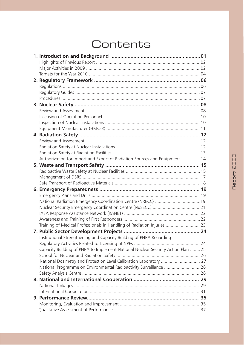# Contents

| Authorization for Import and Export of Radiation Sources and Equipment  14       |  |
|----------------------------------------------------------------------------------|--|
|                                                                                  |  |
|                                                                                  |  |
|                                                                                  |  |
|                                                                                  |  |
|                                                                                  |  |
|                                                                                  |  |
| National Radiation Emergency Coordination Centre (NRECC) 19                      |  |
|                                                                                  |  |
|                                                                                  |  |
|                                                                                  |  |
| Training of Medical Professionals in Handling of Radiation Injuries  23          |  |
|                                                                                  |  |
| Institutional Strengthening and Capacity Building of PNRA Regarding              |  |
|                                                                                  |  |
| Capacity Building of PNRA to Implement National Nuclear Security Action Plan  25 |  |
|                                                                                  |  |
| National Dosimetry and Protection Level Calibration Laboratory  27               |  |
| National Programme on Environmental Radioactivity Surveillance  28               |  |
|                                                                                  |  |
|                                                                                  |  |
|                                                                                  |  |
|                                                                                  |  |
|                                                                                  |  |
|                                                                                  |  |
|                                                                                  |  |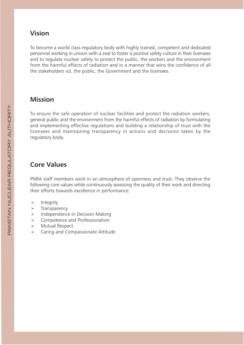## **Vision**

To become a world class regulatory body with highly trained, competent and dedicated personnel working in unison with a zeal to foster a positive safety culture in their licensees and to regulate nuclear safety to protect the public, the workers and the environment from the harmful effects of radiation and in a manner that wins the confidence of all the stakeholders viz. the public, the Government and the licensees.

## **Mission**

To ensure the safe operation of nuclear facilities and protect the radiation workers, general public and the environment from the harmful effects of radiation by formulating and implementing effective regulations and building a relationship of trust with the licensees and maintaining transparency in actions and decisions taken by the regulatory body.

# **Core Values**

PNRA staff members work in an atmosphere of openness and trust. They observe the following core values while continuously assessing the quality of their work and directing their efforts towards excellence in performance:

- $\blacktriangleright$ Integrity
- Transparency  $\blacktriangleright$
- Independence in Decision Making  $\blacktriangleright$
- Competence and Professionalism  $\blacktriangleright$
- $\blacktriangleright$ Mutual Respect
- Caring and Compassionate Attitude  $\mathbf{v}$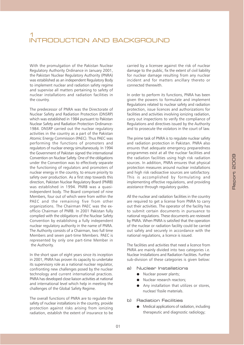With the promulgation of the Pakistan Nuclear Regulatory Authority Ordinance in January 2001, the Pakistan Nuclear Regulatory Authority (PNRA) was established as an independent Regulatory Body to implement nuclear and radiation safety regime and supervise all matters pertaining to safety of nuclear installations and radiation facilities in the country.

The predecessor of PNRA was the Directorate of Nuclear Safety and Radiation Protection (DNSRP) which was established in 1984 pursuant to Pakistan Nuclear Safety and Radiation Protection Ordinance-1984. DNSRP carried out the nuclear regulatory activities in the country as a part of the Pakistan Atomic Energy Commission (PAEC). Thus PAEC was performing the functions of promoters and regulators of nuclear energy simultaneously. In 1994 the Government of Pakistan signed the international Convention on Nuclear Safety. One of the obligations under the Convention was to effectively separate the functioning of regulators and promoters of nuclear energy in the country, to ensure priority to safety over production. As a first step towards this direction, Pakistan Nuclear Regulatory Board (PNRB) was established in 1994. PNRB was a quasiindependent body. The Board comprised of nine Members, four out of which were from within the PAEC and the remaining five from other organizations. The Chairman PAEC was the exofficio Chairman of PNRB. In 2001 Pakistan fully complied with the obligations of the Nuclear Safety Convention by establishing a fully independent nuclear regulatory authority in the name of PNRA. The Authority consists of a Chairman, two full time Members and seven part-time Members. PAEC is represented by only one part-time Member in the Authority.

In the short span of eight years since its inception in 2001, PNRA has proven its capacity to undertake its supervisory role as a national nuclear regulator, confronting new challenges posed by the nuclear technology and current international practices. PNRA has developed close liaison activities at national and international level which help in meeting the challenges of the Global Safety Regime.

The overall functions of PNRA are to regulate the safety of nuclear installations in the country, provide protection against risks arising from ionizing radiation, establish the extent of insurance to be

carried by a licensee against the risk of nuclear damage to the public, fix the extent of civil liability for nuclear damage resulting from any nuclear incident and for matters ancillary thereto or connected therewith.

In order to perform its functions, PNRA has been given the powers to formulate and implement Regulations related to nuclear safety and radiation protection, issue licences and authorizations for facilities and activities involving ionizing radiation, carry out inspections to verify the compliance of Regulations and directives issued by the Authority and to prosecute the violators in the court of law.

The prime task of PNRA is to regulate nuclear safety and radiation protection in Pakistan. PNRA also ensures that adequate emergency preparedness programmes exist at all the nuclear facilities and the radiation facilities using high risk radiation sources. In addition, PNRA ensures that physical protection measures around nuclear installations and high risk radioactive sources are satisfactory. This is accomplished by formulating and implementing effective regulations, and providing assistance through regulatory quides.

All the nuclear and radiation facilities in the country are required to get a license from PNRA to carry out their activities. The operator of the facility has to submit certain documents in pursuance to national regulations. These documents are reviewed by PNRA. When PNRA is satisfied that the operation of the nuclear or radiation facility could be carried out safely and securely in accordance with the national regulations, a licence is issued.

The facilities and activities that need a licence from PNRA are mainly divided into two categories i.e. Nuclear Installations and Radiation Facilities. Further sub-division of these categories is given below:

- a) Nuclear Installations
	- Nuclear power plants;
	- Nuclear research reactors;
	- Any installation that utilizes or stores, nuclear/ fissile materials.
- b) Radiation Facilities
	- Medical applications of radiation, including therapeutic and diagnostic radiology;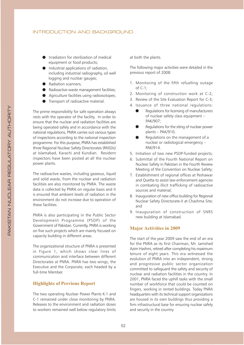- Irradiators for sterilization of medical equipment or food products;
- Industrial applications of radiation, including industrial radiography, oil well logging and nuclear gauges;
- Radiation scanners:
- Radioactive waste management facilities;
- Agriculture facilities using radioisotopes;
- Transport of radioactive material.

The prime responsibility for safe operation always rests with the operator of the facility. In order to ensure that the nuclear and radiation facilities are being operated safely and in accordance with the national regulations, PNRA carries out various types of inspections according to the national inspection programme. For this purpose, PNRA has established three Regional Nuclear Safety Directorates (RNSDs) at Islamabad, Karachi and Kundian. Resident inspectors have been posted at all the nuclear power plants.

The radioactive wastes, including gaseous, liquid and solid waste, from the nuclear and radiation facilities are also monitored by PNRA. The waste data is collected by PNRA on regular basis and it is ensured that ambient levels of radiation in the environment do not increase due to operation of these facilities.

PNRA is also participating in the Public Sector Development Programme (PSDP) of the Government of Pakistan. Currently, PNRA is working on five such projects which are mainly focused on capacity building in different areas.

The organizational structure of PNRA is presented in Figure 1, which shows clear lines of communication and interface between different Directorates at PNRA. PNRA has two wings, the Executive and the Corporate, each headed by a full-time Member.

## **Highlights of Previous Report**

The two operating Nuclear Power Plants K-1 and C-1 remained under close monitoring by PNRA. Releases to the environment and radiation doses to workers remained well below regulatory limits

at both the plants.

The following major activities were detailed in the previous report of 2008:

- 1. Monitoring of the fifth refuelling outage of  $C-1$ :
- 2. Monitoring of construction work at C-2;
- 3. Review of the Site Evaluation Report for C-3;
- 4. Issuance of three national regulations:
	- Regulations for licensing of manufacturers of nuclear safety class equipment -PAK/907:
	- Regulations for the siting of nuclear power plants - PAK/910;
	- Regulations on the management of a nuclear or radiological emergency -PAK/914.
- 5. Initiation of two new PSDP-funded projects;
- 6. Submittal of the Fourth National Report on Nuclear Safety in Pakistan in the Fourth Review Meeting of the Convention on Nuclear Safety;
- 7. Establishment of regional offices at Peshawar and Quetta to assist law enforcement agencies in combating illicit trafficking of radioactive sources and material;
- 8. Inauguration of new office building for Regional Nuclear Safety Directorate-II at Chashma Site: and
- 9. Inauguration of construction of SNRS new building at Islamabad.

## **Major Activities in 2009**

The start of the year 2009 saw the end of an era for the PNRA as its first Chairman, Mr. Jamshed Azim Hashmi, retired after completing his maximum tenure of eight years. This era witnessed the evolution of PNRA into an independent, strong and progressive public sector organization committed to safequard the safety and security of nuclear and radiation facilities in the country. In 2001, PNRA faced the uphill tasks with the small number of workforce that could be counted on fingers, working in rented buildings. Today PNRA headquarters with its technical support organizations are housed in its own buildings thus providing a firm infrastructural base for ensuring nuclear safety and security in the country.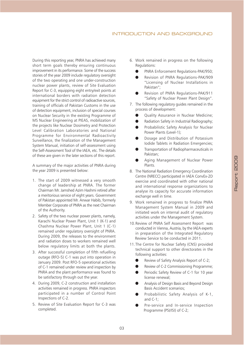During this reporting year, PNRA has achieved many short term goals thereby ensuring continuous improvement in its performance. Some of the success stories of the year 2009 include regulatory oversight of the two operating and one under-construction nuclear power plants, review of Site Evaluation Report for C-3, equipping eight entry/exit points at international borders with radiation detection equipment for the strict control of radioactive sources. training of officials of Pakistan Customs in the use of detection equipment, inclusion of special courses on Nuclear Security in the existing Programme of MS Nuclear Engineering at PIEAS, mobilization of the projects like Nuclear Dosimetry and Protection Level Calibration Laboratories and National Programme for Environmental Radioactivity Surveillance, the finalization of the Management System Manual, initiation of self-assessment using the Self-Assessment Tool of the IAEA, etc. The details of these are given in the later sections of this report.

A summary of the major activities of PNRA during the year 2009 is presented below:

- 1. The start of 2009 witnessed a very smooth change of leadership at PNRA. The former Chairman Mr. Jamshed Azim Hashmi retired after a meritorious service of eight years. Government of Pakistan appointed Mr. Anwar Habib, formerly Member Corporate of PNRA as the next Chairman of the Authority.
- 2. Safety of the two nuclear power plants, namely, Karachi Nuclear Power Plant, Unit 1 (K-1) and Chashma Nuclear Power Plant, Unit 1 (C-1) remained under regulatory oversight of PNRA. During 2009, the releases to the environment and radiation doses to workers remained well below regulatory limits at both the plants.
- 3. After successful completion of fifth refuelling outage (RFO-5) C-1 was put into operation in January 2009. Post RFO-5 operational activities of C-1 remained under review and inspection by PNRA and the plant performance was found to be satisfactory through out the year.
- 4. During 2009, C-2 construction and installation activities remained in progress. PNRA inspectors participated in a number of Control Point Inspections of C-2.
- 5. Review of Site Evaluation Report for C-3 was completed.
- 6. Work remained in progress on the following Regulations:
	- PNRA Enforcement Regulations-PAK/950;
	- Revision of PNRA Regulations-PAK/909 "Licensing of Nuclear Installations in Pakistan";
	- Revision of PNRA Regulations-PAK/911 "Safety of Nuclear Power Plant Design".
- 7. The following regulatory guides remained in the process of development:
	- Quality Assurance in Nuclear Medicine;
	- Radiation Safety in Industrial Radiography;
	- Probabilistic Safety Analysis for Nuclear Power Plants (Level-1);
	- Dosage and Distribution of Potassium Iodide Tablets in Radiation Emergencies;
	- Transportation of Radiopharmaceuticals in Pakistan;
	- Aging Management of Nuclear Power Plants.
- 8. The National Radiation Emergency Coordination Centre (NRECC) participated in IAEA ConvEx-2D exercise and coordinated with other national and international response organizations to analyse its capacity for accurate information exchange well in time.
- 9. Work remained in progress to finalize PNRA Management System Manual in 2009 and initiated work on internal audit of regulatory activities under the Management System.
- 10. Review of PNRA Self Assessment Report was conducted in Vienna, Austria, by the IAEA experts in preparation of the Integrated Regulatory Review Service to be conducted in 2011.
- 11. The Centre for Nuclear Safety (CNS) provided technical support to other directorates in the following activities:
	- Review of Safety Analysis Report of C-2;
	- Review of C-2 Commissioning Programme;
	- Periodic Safety Review of C-1 for 10 year license renewal:
	- Analysis of Design Basis and Beyond Design Basis Accident scenarios;
	- Probabilistic Safety Analysis of K-1, and  $C-1$ :
	- Pre-service and In-service Inspection Programme (PSI/ISI) of C-2;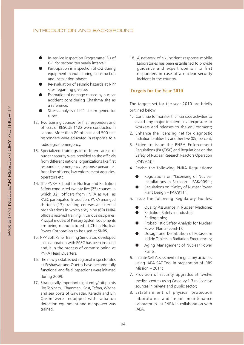- In-service Inspection Programme(ISI) of C-1 for second ten vearly interval:
- Participation in inspection of C-2 during equipment manufacturing, construction and installation phase:
- Re-evaluation of seismic hazards at NPP sites regarding g-value:
- Estimation of damage caused by nuclear accident considering Chashma site as a reference;
- Stress analysis of K-1 steam generator tubes.
- 12. Two training courses for first responders and officers of RESCUE 1122 were conducted in Lahore. More than 80 officers and 500 first responders were educated in response to a radiological emergency.
- 13. Specialized trainings in different areas of nuclear security were provided to the officials from different national organizations like first responders, emergency response personnel, front line officers, law enforcement agencies, operators etc.
- 14. The PNRA School for Nuclear and Radiation Safety conducted twenty five (25) courses in which 321 officers from PNRA as well as PAEC participated. In addition, PNRA arranged thirteen (13) training courses at external organizations in which sixty nine (69) PNRA officials received training in various disciplines. Physical models of Primary System Equipments are being manufactured at China Nuclear Power Corporation to be used at SNRS.
- 15. NPP Soft Panel Training Simulator, developed in collaboration with PAEC has been installed and is in the process of commissioning at PNRA Head Quarters.
- 16. The newly established regional inspectorates at Peshawar and Quetta have become fully functional and field inspections were initiated during 2009.
- 17. Strategically important eight entry/exit points like Torkham, Chamman, Sost, Taftan, Wagha and sea ports of Gawadar, Karachi and Bin Qasim were equipped with radiation detection equipment and manpower was trained.

18. A network of six incident response mobile Laboratories has been established to provide quidance and expert opinion to first responders in case of a nuclear security incident in the country.

## **Targets for the Year 2010**

The targets set for the year 2010 are briefly outlined below:

- 1. Continue to monitor the licensees activities to avoid any major incident, overexposure to workers and releases to the environment;
- 2. Enhance the licensing net for diagnostic radiation facilities by another five (05) percent;
- 3. Strive to issue the PNRA Enforcement Regulations (PAK/950) and Regulations on the Safety of Nuclear Research Reactors Operation (PAK/923);
- 4. Revise the following PNRA Regulations:
	- Regulations on "Licensing of Nuclear Installations in Pakistan - PAK/909" ;
	- Regulations on "Safety of Nuclear Power Plant Design - PAK/911".
- 5. Issue the following Regulatory Guides:
	- Quality Assurance in Nuclear Medicine;
	- Radiation Safety in Industrial Radiography;
	- Probabilistic Safety Analysis for Nuclear Power Plants (Level-1);
	- Dosage and Distribution of Potassium Iodide Tablets in Radiation Emergencies;
	- Aging Management of Nuclear Power Plants.
- 6. Initiate Self Assessment of regulatory activities using IAEA SAT Tool in preparation of IRRS Mission  $-2011$ ;
- 7. Provision of security upgrades at twelve medical centres using Category 1-3 radioactive sources in private and public sector;
- 8. Establishment of physical protection laboratories and repair maintenance Laboratories at PNRA in collaboration with IAEA.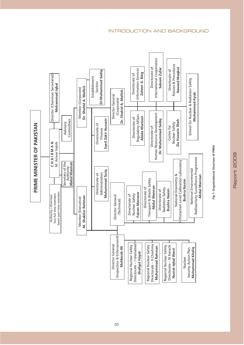

05

Report 2009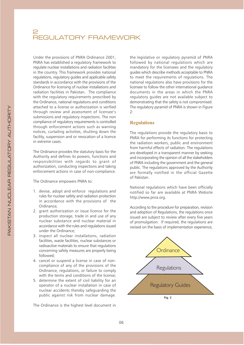# 2<br>REGULATORY FRAMEWORK

Under the provisions of PNRA Ordinance 2001. PNRA has established a regulatory framework to regulate nuclear installations and radiation facilities in the country. This framework provides national regulations, regulatory guides and applicable safety standards in accordance with the provisions of the Ordinance for licensing of nuclear installations and radiation facilities in Pakistan. The compliance with the regulatory requirements prescribed by the Ordinance, national regulations and conditions attached to a license or authorization is verified through review and assessment of licensee's submissions and regulatory inspections. The non compliance of regulatory requirements is controlled through enforcement actions such as warning notices, curtailing activities, shutting down the facility, suspension and or revocation of a licence in extreme cases.

The Ordinance provides the statutory basis for the Authority and defines its powers, functions and responsibilities with regards to grant of authorization, conducting inspections and taking enforcement actions in case of non-compliance.

The Ordinance empowers PNRA to:

- 1. devise, adopt and enforce regulations and rules for nuclear safety and radiation protection in accordance with the provisions of the Ordinance:
- 2. grant authorization or issue licence for the production storage, trade in and use of any nuclear substance and nuclear material in accordance with the rules and regulations issued under the Ordinance;
- 3. inspect all nuclear installations, radiation facilities, waste facilities, nuclear substances or radioactive materials to ensure that regulations concerning safety measures are properly being followed:
- 4. cancel or suspend a license in case of noncompliance of any of the provisions of the Ordinance, regulations, or failure to comply with the terms and conditions of the license;
- 5. determine the extent of civil liability for an operator of a nuclear installation in case of nuclear accidents thereby safeguarding the public against risk from nuclear damage.

The Ordinance is the highest level document in

the legislative or regulatory pyramid of PNRA followed by national regulations which are mandatory for the licensees and the regulatory quides which describe methods acceptable to PNRA to meet the requirements of requlations. The national regulations also have provisions for the licensee to follow the other international quidance documents in the areas in which the PNRA regulatory quides are not available subject to demonstrating that the safety is not compromised. The regulatory pyramid of PNRA is shown in Figure  $2:$ 

## **Regulations**

The regulations provide the regulatory basis to PNRA for performing its functions for protecting the radiation workers, public and environment from harmful effects of radiation. The regulations are developed in a transparent manner by seeking and incorporating the opinion of all the stakeholders of PNRA including the government and the general public. The regulations approved by the Authority are formally notified in the official Gazette of Pakistan.

National regulations which have been officially notified so far are available at PNRA Website http://www.pnra.org.

According to the procedure for preparation, revision and adoption of Regulations, the regulations once issued are subject to review after every five years of promulgation. If required, the regulations are revised on the basis of implementation experience,

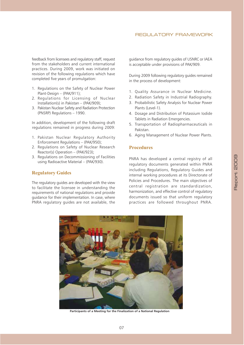## REGULATORY FRAMEWORK

feedback from licensees and regulatory staff, request from the stakeholders and current international practices. During 2009, work was initiated on revision of the following regulations which have completed five years of promulgation:

- 1. Regulations on the Safety of Nuclear Power Plant-Design - (PAK/911);
- 2. Regulations for Licensing of Nuclear Installation(s) in Pakistan  $-$  (PAK/909):
- 3. Pakistan Nuclear Safety and Radiation Protection (PNSRP) Regulations - 1990.

In addition, development of the following draft regulations remained in progress during 2009:

- 1. Pakistan Nuclear Regulatory Authority Enforcement Regulations - (PAK/950);
- 2. Regulations on Safety of Nuclear Research Reactor(s) Operation - (PAK/923);
- 3. Regulations on Decommissioning of Facilities using Radioactive Material - (PAK/930).

## **Regulatory Guides**

The regulatory guides are developed with the view to facilitate the licensee in understanding the requirements of national regulations and provide guidance for their implementation. In case, where PNRA regulatory quides are not available, the guidance from regulatory guides of USNRC or IAEA is acceptable under provisions of PAK/909.

During 2009 following regulatory guides remained in the process of development:

- 1. Quality Assurance in Nuclear Medicine.
- 2. Radiation Safety in Industrial Radiography.
- 3. Probabilistic Safety Analysis for Nuclear Power Plants (Level-1).
- 4. Dosage and Distribution of Potassium Iodide Tablets in Radiation Emergencies.
- 5. Transportation of Radiopharmaceuticals in Pakistan.
- 6. Aging Management of Nuclear Power Plants.

### **Procedures**

PNRA has developed a central registry of all regulatory documents generated within PNRA including Regulations, Regulatory Guides and internal working procedures at its Directorate of Policies and Procedures. The main objectives of central registration are standardization, harmonization, and effective control of regulatory documents issued so that uniform regulatory practices are followed throughout PNRA.



Participants of a Meeting for the Finalization of a National Regulation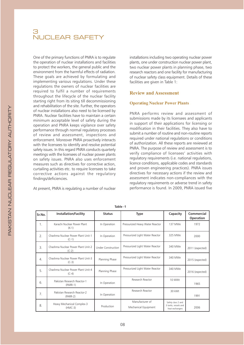# 3<br>NUCLEAR SAFET

One of the primary functions of PNRA is to regulate the operation of nuclear installations and facilities to protect the workers, the general public and the environment from the harmful effects of radiation. These goals are achieved by formulating and implementing various regulations. Under these regulations the owners of nuclear facilities are required to fulfil a number of requirements throughout the lifecycle of the nuclear facility starting right from its siting till decommissioning and rehabilitation of the site. Further, the operators of nuclear installations also need to be licensed by PNRA. Nuclear facilities have to maintain a certain minimum acceptable level of safety during the operation and PNRA keeps vigilance over safety performance through normal regulatory processes of review and assessment, inspections and enforcement. Moreover PNRA proactively interacts with the licensees to identify and resolve potential safety issues. In this regard PNRA conducts quarterly meetings with the licensees of nuclear power plants on safety issues. PNRA also uses enforcement measures such as directives for corrective action. curtailing activities etc. to require licensees to take corrective actions against the regulatory findings/deficiencies.

At present, PNRA is regulating a number of nuclear

installations including two operating nuclear power plants, one under construction nuclear power plant, two nuclear power plants in planning phase, two research reactors and one facility for manufacturing of nuclear safety class equipment. Details of these facilities are given in Table 1:

## **Review and Assessment**

#### **Operating Nuclear Power Plants**

PNRA performs review and assessment of submissions made by its licensees and applicants in support of their applications for licensing or modification in their facilities. They also have to submit a number of routine and non-routine reports required under national regulations or conditions of authorization. All these reports are reviewed at PNRA. The purpose of review and assessment is to verify compliance of licensees' activities with regulatory requirements (i.e. national regulations, licence conditions, applicable codes and standards and proven engineering practices). PNRA issues directives for necessary actions if the review and assessment indicates non-compliances with the requilatory requirements or adverse trend in safety performance is found. In 2009, PNRA issued five

| Sr.No.           | <b>Installation/Facility</b>                  | <b>Status</b>             | <b>Type</b>                             | Capacity                                                      | Commercial<br><b>Operation</b> |
|------------------|-----------------------------------------------|---------------------------|-----------------------------------------|---------------------------------------------------------------|--------------------------------|
| 1 <sub>1</sub>   | Karachi Nuclear Power Plant<br>$(K-1)$        | In Operation              | Pressurized Heavy Water Reactor         | 137 MWe                                                       | 1972                           |
| 2.               | Chashma Nuclear Power Plant Unit-1<br>$(C-1)$ | In Operation              | Pressurized Light Water Reactor         | 325 MWe                                                       | 2000                           |
| 3.               | Chashma Nuclear Power Plant Unit-2<br>$(C-2)$ | <b>Under Construction</b> | Pressurized Light Water Reactor         | 340 MWe                                                       | 2011 (expected)                |
| $\overline{4}$ . | Chashma Nuclear Power Plant Unit-3<br>$(C-3)$ | Planning Phase            | Pressurized Light Water Reactor         | 340 MWe                                                       | 2015 (expected)                |
| 5.               | Chashma Nuclear Power Plant Unit-4<br>$(C-4)$ | Planning Phase            | Pressurized Light Water Reactor         | 340 MWe                                                       | 2016 (expected)                |
| 6.               | Pakistan Research Reactor-1<br>$(PARR-1)$     | In Operation              | Research Reactor                        | 10 MWt                                                        | 1965                           |
| 7 <sub>1</sub>   | Pakistan Research Reactor-2<br>$(PARR-2)$     | In Operation              | Research Reactor                        | 30 kWt                                                        | 1991                           |
| 8.               | Heavy Mechanical Complex-3<br>$(HMC-3)$       | Production                | Manufacturer of<br>Mechanical Equipment | Safety class 2 and<br>3 tanks, vessels and<br>heat exchangers | 2006                           |

Table -1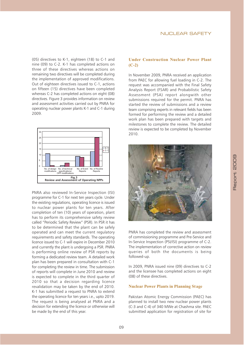(05) directives to K-1, eighteen (18) to C-1 and nine (09) to C-2. K-1 has completed actions on three of these directives whereas actions on remaining two directives will be completed during the implementation of approved modifications. Out of eighteen directives issued to C-1, actions on fifteen (15) directives have been completed whereas C-2 has completed actions on eight (08) directives. Figure 3 provides information on review and assessment activities carried out by PNRA for operating nuclear power plants K-1 and C-1 during 2009.



PNRA also reviewed In-Service Inspection (ISI) programme for C-1 for next ten years cycle. Under the existing regulations, operating licence is issued to nuclear power plants for ten years. After completion of ten (10) years of operation, plant has to perform its comprehensive safety review called "Periodic Safety Review" (PSR). In PSR it has to be determined that the plant can be safely operated and can meet the current regulatory requirements and safety standards. The operating licence issued to C-1 will expire in December 2010 and currently the plant is undergoing a PSR. PNRA is performing online review of PSR reports by forming a dedicated review team. A detailed work plan has been prepared in consultation with C-1 for completing the review in time. The submission of reports will complete in June 2010 and review is expected to complete in the third quarter of 2010 so that a decision regarding licence revalidation may be taken by the end of 2010. K-1 has submitted a request to PNRA to extend the operating licence for ten years i.e., upto 2019. The request is being analysed at PNRA and a decision for extending the licence or otherwise will be made by the end of this year.

## **Under Construction Nuclear Power Plant**  $(C-2)$

In November 2009, PNRA received an application from PAEC for allowing fuel loading in C-2. The request was accompanied with the Final Safety Analysis Report (FSAR) and Probabilistic Safety Assessment (PSA) report alongwith other submissions required for the permit. PNRA has started the review of submissions and a review team comprising experts in relevant fields has been formed for performing the review and a detailed work plan has been prepared with targets and milestones to complete the review. The detailed review is expected to be completed by November 2010.



PNRA has completed the review and assessment of commissioning programme and Pre-Service and In-Service Inspection (PSI/ISI) programme of C-2. The implementation of corrective action on review queries of both the documents is being followed-up.

In 2009, PNRA issued nine (09) directives to C-2 and the licensee has completed actions on eight (08) of these directives.

### **Nuclear Power Plants in Planning Stage**

Pakistan Atomic Energy Commission (PAEC) has planned to install two new nuclear power plants (C-3 and C-4) of 340 MWe at Chashma site. PAEC submitted application for registration of site for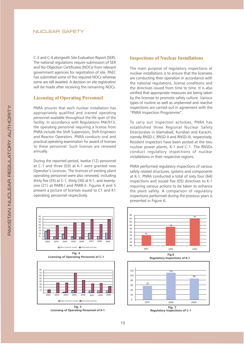C-3 and C-4 alongwith Site Evaluation Report (SER). The national regulations require submission of SER and No-Objection Certificates (NOCs) from relevant government agencies for registration of site. PAEC has submitted some of the required NOCs whereas some are still awaited. A decision on site registration will be made after receiving the remaining NOCs.

## **Licensing of Operating Personnel**

PNRA ensures that each nuclear installation has appropriately qualified and trained operating personnel available throughout the life span of the facility. In accordance with Regulations PAK/913, the operating personnel requiring a license from PNRA include the Shift Supervisors, Shift Engineers and Reactor Operators. PNRA conducts oral and practical operating examination for award of licenses to these personnel. Such licenses are renewed annually.

During the reported period, twelve (12) personnel at C-1 and three (03) at K-1 were granted new Operator's Licences. The licences of existing plant operating personnel were also renewed, including thirty five (35) at C-1, thirty (30) at K-1, and twentyone (21) at PARR-I and PARR-II. Figures 4 and 5 present a picture of licenses issued to C1 and K1 operating personnel respectively.





Licensing of Operating Personnel of K-1

## **Inspections of Nuclear Installations**

The main purpose of regulatory inspections at nuclear installations is to ensure that the licensees are conducting their operation in accordance with the national regulations, license conditions and the directives issued from time to time. It is also verified that appropriate measures are being taken by the licensee to promote safety culture. Various types of routine as well as unplanned and reactive inspections are carried out in agreement with the "PNRA Inspection Programme".

To carry out inspection activities, PNRA has established three Regional Nuclear Safety Directorates in Islamabad, Kundian and Karachi, namely RNSD-I, RNSD-II and RNSD-III, respectively. Resident inspectors have been posted at the two nuclear power plants, K-1 and C-1. The RNSDs conduct regulatory inspections of nuclear installations in their respective regions.

PNRA performed regulatory inspections of various safety related structures, systems and components at K-1. PNRA conducted a total of sixty four (64) inspections and issued five (05) directives to K-1 requiring various actions to be taken to enhance the plant safety. A comparison of regulatory inspections performed during the previous years is presented in Figure 6.

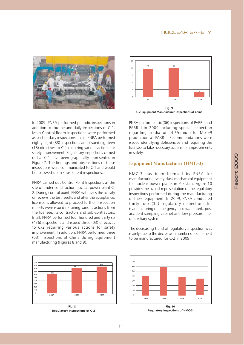#### **NUCLEAR SAFETY**





In 2009, PNRA performed periodic inspections in addition to routine and daily inspections of C-1. Main Control Room inspections were performed as part of daily inspections. In all, PNRA performed eighty eight (88) inspections and issued eighteen (18) directives to C-1 requiring various actions for safety improvement. Regulatory inspections carried out at C-1 have been graphically represented in Figure 7. The findings and observations of these inspections were communicated to C-1 and would be followed-up in subsequent inspections.

PNRA carried out Control Point Inspections at the site of under construction nuclear power plant C-2. During control point, PNRA witnesses the activity or reviews the test results and after the acceptance. licensee is allowed to proceed further. Inspection reports were issued requiring various actions from the licensee, its contractors and sub-contractors. In all, PNRA performed four hundred and thirty six (436) inspections and issued three (03) directives to C-2 requiring various actions for safety improvement. In addition, PNRA performed three (03) inspections at China during equipment manufacturing (Figures 8 and 9).

PNRA performed six (06) inspections of PARR-I and PARR-II in 2009 including special inspection regarding irradiation of Uranium for Mo-99 production at PARR-I. Recommendations were issued identifying deficiencies and requiring the licensee to take necessary actions for improvements in safety.

## **Equipment Manufacturer (HMC-3)**

HMC-3 has been licensed by PNRA for manufacturing safety class mechanical equipment for nuclear power plants in Pakistan. Figure 10 provides the overall representation of the regulatory inspections performed during the manufacturing of these equipment. In 2009, PNRA conducted thirty four (34) regulatory inspections for manufacturing of emergency feed water tank, post accident sampling cabinet and low pressure filter of auxiliary system.

The decreasing trend of regulatory inspection was mainly due to the decrease in number of equipment to be manufactured for C-2 in 2009.

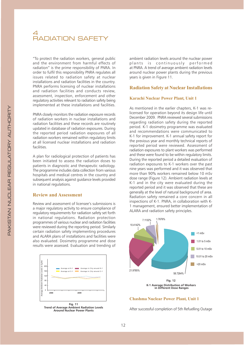# 4<br>RADIATION SAFET

"To protect the radiation workers, general public and the environment from harmful effects of radiation" is the prime responsibility of PNRA. In order to fulfil this responsibility PNRA regulates all issues related to radiation safety at nuclear installations and radiation facilities in the country. PNRA performs licensing of nuclear installations and radiation facilities and conducts review. assessment, inspection, enforcement and other regulatory activities relevant to radiation safety being implemented at these installations and facilities.

PNRA closely monitors the radiation exposure records of radiation workers in nuclear installations and radiation facilities and these records are routinely updated in database of radiation exposures. During the reported period radiation exposures of all radiation workers remained within regulatory limits at all licensed nuclear installations and radiation facilities

A plan for radiological protection of patients has been initiated to assess the radiation doses to patients in diagnostic and therapeutic radiology. The programme includes data collection from various hospitals and medical centres in the country and subsequent analysis against quidance levels provided in national regulations.

### **Review and Assessment**

Review and assessment of licensee's submissions is a major regulatory activity to ensure compliance of regulatory requirements for radiation safety set forth in national regulations. Radiation protection programmes of various nuclear and radiation facilities were reviewed during the reporting period. Similarly certain radiation safety implementing procedures and ALARA plans of installations and facilities were also evaluated. Dosimetry programme and dose results were assessed. Evaluation and trending of



Trend of Average Ambient Radiation Levels<br>Around Nuclear Power Plants

ambient radiation levels around the nuclear power plants is continuously performed at PNRA. A trend of average ambient radiation levels around nuclear power plants during the previous vears is given in Figure 11.

### **Radiation Safety at Nuclear Installations**

#### **Karachi Nuclear Power Plant, Unit 1**

As mentioned in the earlier chapters, K-1 was relicensed for operation beyond its design life until December 2009. PNRA reviewed several submissions regarding radiation safety during the reported period. K-1 dosimetry programme was evaluated and recommendations were communicated to K-1 for improvement. K-1 annual safety report for the previous year and monthly technical reports of reported period were reviewed. Assessment of radiation exposures to plant workers was performed and these were found to be within regulatory limits. During the reported period a detailed evaluation of radiation exposures to K-1 workers over the past nine vears was performed and it was observed that more than 90% workers remained below 10 mSv dose range (Figure 12). Ambient radiation levels at K-1 and in the city were evaluated during the reported period and it was observed that these are generally at the level of natural background of area. Radiation safety remained a core concern in all inspections of K-1. PNRA, in collaboration with K-1 management, ensured better implementation of ALARA and radiation safety principles.



#### **Chashma Nuclear Power Plant, Unit 1**

After successful completion of 5th Refuelling Outage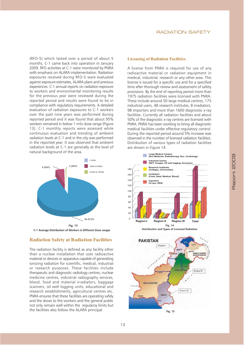(RFO-5) which lasted over a period of about 5 months. C-1 came back into operation in January 2009. RFO activities at C-1 were monitored by PNRA with emphasis on ALARA implementation. Radiation exposures received during RFO-5 were evaluated against exposure estimates, ALARA plans and previous experiences. C-1 annual reports on radiation exposure to workers and environmental monitoring results for the previous year were reviewed during the reported period and results were found to be in compliance with regulatory requirements. A detailed evaluation of radiation exposures to C-1 workers over the past nine years was performed during reported period and it was found that about 95% workers remained in below 1 mSv dose range (Figure 13). C-1 monthly reports were assessed while continuous evaluation and trending of ambient radiation levels at C-1 and in the city was performed in the reported year. It was observed that ambient radiation levels at C-1 are generally at the level of natural background of the area.





## **Radiation Safety at Radiation Facilities**

The radiation facility is defined as any facility other than a nuclear installation that uses radioactive material or devices or apparatus capable of generating jonizing radiation for scientific, medical, industrial or research purposes. These facilities include therapeutic and diagnostic radiology centres, nuclear medicine centres, industrial radiography services, blood, food and material irradiators, baggage scanners, oil well logging units, educational and research establishments, agricultural centres etc. PNRA ensures that these facilities are operating safely and the doses to the workers and the general public not only remain well within the regularoy limits but the facilities also follow the ALARA principal.

### **RADIATION SAFETY**

#### **Licensing of Radiation Facilities**

A license from PNRA is required for use of any radioactive material or radiation equipment in medical, industrial, research or any other area. This license is issued for a specific use and for a specified time after thorough review and assessment of safety provisions. By the end of reporting period more than 1975 radiation facilities were licensed with PNRA. These include around 50 large medical centres, 175 industrial users, 48 research institutes, 8 irradiators, 98 importers and more than 1600 diagnostic x-ray facilities. Currently all radiation facilities and about 50% of the diagnostic x-ray centres are licensed with PNRA. PNRA has been working to bring all diagnostic medical facilities under effective regulatory control. During the reported period around 5% increase was observed in the number of licensed radiation facilities. Distribution of various types of radiation facilities are shown in Figure 14.



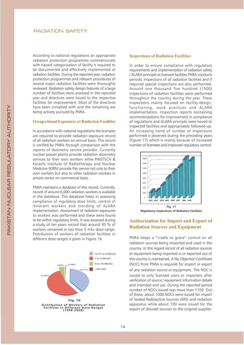According to national regulations an appropriate radiation protection programme commensurate with hazard categorization of facility is required to be documented and effectively implemented at radiation facilities. During the reported year, radiation protection programmes and relevant procedures of several major radiation facilities were thoroughly reviewed. Radiation safety design features of a large number of facilities were assessed in the reported vear and directives were issued to the respective facilities for improvement. Most of the directives have been complied with and the remaining are being actively pursued by PNRA.

#### **Occupational Exposures at Radiation Facilities**

In accordance with national regulations the licensees are required to provide radiation exposure record of all radiation workers on annual basis. This record is verified by PNRA through comparison with the reports of dosimetry service provider. Currently nuclear power plants provide radiation dosimetry services to their own workers while PINSTECH & Karachi Institute of Radiotherapy and Nuclear Medicine (KIRN) provide this service not only to their own workers but also to other radiation workers in private sector on commercial basis.

PNRA maintains a database of this record. Currently, record of around 6,000 radiation workers is available in the database. The database helps in assessing compliance of regulatory dose limits, control of itinerant workers and trending of ALARA implementation. Assessment of radiation exposures to workers was performed and these were found to be within regulatory limits. It was assessed during a study of ten years record that around 95 % of workers remained in less than 5 mSv dose range. Distribution of workers of radiation facilities in different dose ranges is given in Figure 16.



#### **Inspections of Radiation Facilities**

In order to ensure compliance with regulatory requirements and implementation of radiation safety / ALARA principle at licensed facilities PNRA conducts periodic inspections of all radiation facilities and if required special inspections are also performed. Around one thousand five hundred (1500) inspections of radiation facilities were performed throughout the country during the year. These inspections mainly focused on facility-design, functioning, work practices and ALARA implementation. Inspection reports containing recommendations for improvement in compliance of regulations and ALARA principle were issued to inspected facilities and appropriately followed-up. An increasing trend of number of inspections performed is observed during the preceding years (Figure 17) which is mainly because of increased number of licensees and improved regulatory control.



**Regulatory Inspections of Rediation Facilities** 

## **Authorization for Import and Export of Radiation Sources and Equipment**

PNRA keeps a "cradle to grave" control on all radiation sources being imported and used in the country. In this regard record of all radiation sources or equipment being imported in or exported out of the country is maintained. A No Objection Certificate (NOC) from PNRA is required for import or export of any radiation source or equipment. This NOC is issued to only licensed users or importers after verification of source / equipment information details and intended end use. During the reported period number of NOCs issued was more than 1100. Out of these, about 1000 NOCs were issued for import of Sealed Radioactive Sources (SRS) and radiation apparatus while about 100 were issued for the export of disused sources to the original supplier.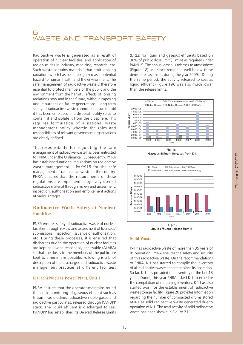# WASTE AND TRANSPORT SAFETY

Radioactive waste is generated as a result of operation of nuclear facilities, and application of radionuclides in industry, medicine, research, etc. Such waste contains materials that emit ionizing radiation, which has been recognized as a potential hazard to human health and the environment. The safe management of radioactive waste is therefore essential to protect members of the public and the environment from the harmful effects of ionizing radiations now and in the future, without imposing undue burdens on future generations. Long term safety of radioactive waste cannot be ensured until it has been emplaced in a disposal facility so as to contain it and isolate it from the biosphere. This requires formulation of a national waste management policy wherein the roles and responsibilities of relevant government organizations are clearly defined.

The responsibility for regulating the safe management of radioactive waste has been entrusted to PNRA under the Ordinance. Subsequently, PNRA has established national regulations on radioactive waste management - PAK/915 for the safe management of radioactive waste in the country. PNRA ensures that the requirements of these regulations are implemented by every user of radioactive material through review and assessment, inspection, authorization and enforcement actions at various stages.

## **Radioactive Waste Safety at Nuclear Facilities**

PNRA ensures safety of radioactive waste of nuclear facilities through review and assessment of licensees' submissions, inspection, issuance of authorization, etc. During these processes, it is ensured that discharges due to the operation of nuclear facilities are kept as low as reasonably achievable (ALARA) so that the doses to the members of the public are kept to a minimum possible. Following is a brief description of the discharges and radioactive waste management practices at different facilities:

#### **Karachi Nuclear Power Plant, Unit 1**

PNRA ensures that the operator maintains round the clock monitoring of gaseous effluent such as tritium, radioiodine, radioactive noble gases and radioactive particulates, released through KANUPP stack. The liquid effluent is discharged to sea. KANUPP has established its Derived Release Limits

(DRLs) for liquid and gaseous effluents based on 30% of public dose limit (1 mSv) as required under PAK/915. The annual gaseous releases to atmosphere (Figure 18), via stack remained well below these derived release limits during the year 2009. During the same period, the activity released to sea, as liquid effluent (Figure 19), was also much lower than the release limits.



**Fig. 18** Gaseous Effluent Releases from K-1



#### **Solid Waste**

K-1 has radioactive waste of more than 35 years of its operation. PNRA ensures the safety and security of this radioactive waste. On the recommendations of PNRA. K-1 has started to compile the inventory of all radioactive waste generated since its operation. So far. K-1 has provided the inventory of the last 18 years. During this year PNRA asked K-1 to expedite the compilation of remaining inventory. K-1 has also started work for the establishment of radioactive waste storage facility. Figure 20 provides information regarding the number of compacted drums stored at K-1 as solid radioactive waste generated due to operation of K-1. The total activity of solid radioactive waste has been shown in Figure 21.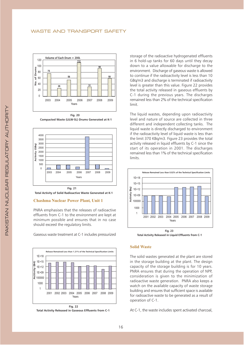#### **WASTE AND TRANSPORT SAFETY**



Compacted Waste (LILW-SL) Drums Generated at K-1





#### **Chashma Nuclear Power Plant, Unit 1**

PNRA emphasises that the releases of radioactive effluents from C-1 to the environment are kept at minimum possible and ensures that in no case should exceed the regulatory limits.

Gaseous waste treatment at C-1 includes pressurized





storage of the radioactive hydrogenated effluents in 6 hold-up tanks for 60 days until they decay down to a value allowable for discharge to the environment. Discharge of gaseous waste is allowed to continue if the radioactivity level is less than 10 GBq/m3 and discharge is terminated if radioactivity level is greater than this value. Figure 22 provides the total activity released in gaseous effluents by C-1 during the previous years. The discharges remained less than 2% of the technical specification limit.

The liquid wastes, depending upon radioactivity level and nature of source are collected in three different and independent collecting tanks. The liquid waste is directly discharged to environment if the radioactivity level of liquid waste is less than the limit 370 KBq/m3. Figure 23 provides the total activity released in liquid effluents by C-1 since the start of its operation in 2001. The discharges remained less than 1% of the technical specification limits.



Total Activity Released in Liquid Effluents from C-1

#### **Solid Waste**

The solid wastes generated at the plant are stored in the storage building at the plant. The design capacity of the storage building is for 10 years. PNRA ensures that during the operation of NPP, consideration is given to the minimization of radioactive waste generation. PNRA also keeps a watch on the available capacity of waste storage building and ensures that sufficient space is available for radioactive waste to be generated as a result of operation of C-1.

At C-1, the waste includes spent activated charcoal,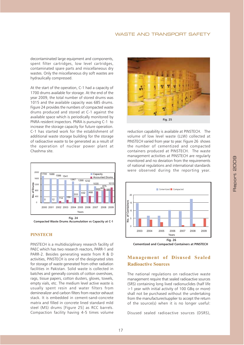## **WASTE AND TRANSPORT SAFETY**

decontaminated large equipment and components, spent filter cartridges, low level cartridges, contaminated spare parts and miscellaneous dry wastes. Only the miscellaneous dry soft wastes are hydraulically compressed.

At the start of the operation, C-1 had a capacity of 1700 drums available for storage. At the end of the year 2009, the total number of stored drums was 1015 and the available capacity was 685 drums. Figure 24 provides the numbers of compacted waste drums produced and stored at C-1 against the available space which is periodically monitored by PNRA resident inspectors. PNRA is pursuing C-1 to increase the storage capacity for future operation. C-1 has started work for the establishment of additional waste storage building for the storage of radioactive waste to be generated as a result of the operation of nuclear power plant at Chashma site



#### **PINSTECH**

PINSTECH is a multidisciplinary research facility of PAEC which has two research reactors. PARR-1 and PARR-2. Besides generating waste from R & D activities. PINSTECH is one of the designated sites for storage of waste generated from other radiation facilities in Pakistan. Solid waste is collected in batches and generally consists of cotton overshoes, rags, tissue papers, cotton dusters, gloves, towels, empty vials, etc. The medium level active waste is usually spent resin and water filters from demineralizer and carbon filters from reactor exhaust stack. It is embedded in cement-sand-concrete matrix and filled in concrete lined standard mild steel (MS) drums [Figure 25] as RCC barrels. Compaction facility having 4-5 times volume



reduction capability is available at PINSTECH. The volume of low level waste (LLW) collected at PINSTECH varied from year to year. Figure 26 shows the number of cementized and compacted containers produced at PINSTECH. The waste management activities at PINSTECH are regularly monitored and no deviation from the requirements of national regulations and international standards were observed during the reporting year.



## **Management of Disused Sealed Radioactive Sources**

The national regulations on radioactive waste management require that sealed radioactive sources (SRS) containing long lived radionuclides (half life >1 year with initial activity of 100 GBq or more) shall not be purchased without the undertaking from the manufacturer/supplier to accept the return of the source(s) when it is no longer useful:

Disused sealed radioactive sources (DSRS).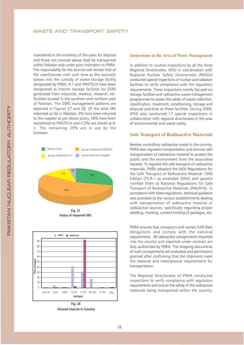maintained in the inventory of the users for disposal and those not covered above shall be transported within Pakistan only under prior intimation to PNRA. The responsibility for the sources will remain that of the user/licensee until such time as the source(s) passes into the custody of waste storage facility designated by PNRA. K-1 and PINSTECH have been designated as interim storage facilities for DSRS generated from industrial, medical, research, etc. facilities located in the southern and northern part of Pakistan. The DSRS management patterns are depicted in Figures 27 and 28. Of the total SRS imported so far in Pakistan, 3% have been returned to the supplier as per above policy, 56% have been transferred to PINSTECH and (12%) are stored at K-1. The remaining 29% are in use by the licensees.



**Status of Imported SRS** 



**Disused Sources in Country** 

#### **Inspections in the Area of Waste Management**

In addition to routine inspections by all the three Regional Directorates, WSD in coordination with Regional Nuclear Safety Directorates (RNSDs) conducted special inspections of nuclear and radiation facilities to verify compliance with the regulatory requirements. These inspections mainly focused on storage facilities and radioactive waste management programmes to assess the safety of waste collection, classification, treatment, conditioning, storage and disposal practices at these facilities. During 2009, WSD also conducted 17 special inspections in collaboration with regional directorates in the area of environmental and waste safety.

#### **Safe Transport of Radioactive Materials**

Besides controlling radioactive waste in the country, PNRA also regulates transportation and ensures safe transportation of radioactive material to protect the public and the environment from the associated hazards. To regulate the safe transport of radioactive materials, PNRA adopted the IAEA Regulations for the Safe Transport of Radioactive Material 1996 Edition (TS-R-1 as amended 2003) and gazette notified them as National Regulations for Safe Transport of Radioactive Materials (PAK/916). In accordance with these regulations, technical guidance was provided to the various establishments dealing with transportation of radioactive material or radioactive sources, specifically regarding proper labelling, marking, content limiting of packages, etc.

PNRA ensures that consignors and carriers fulfil their obligations and comply with the national requirements. All radioactive consignments imported into the country and exported under contract are duly authorized by PNRA. The shipping documents of such consignments are evaluated and permissions granted after confirming that the shipments meet the national and international requirements for transportation.

The Regional Directorates of PNRA conducted inspections to verify compliance with regulatory requirements and ensure the safety of the radioactive materials being transported within the country.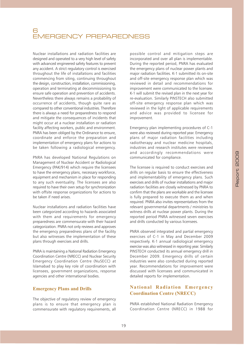# 6<br>EMERGENCY PREPAREDNESS

Nuclear installations and radiation facilities are designed and operated to a very high level of safety with advanced engineered safety features to prevent any accident. A strict regulatory control is exercised throughout the life of installations and facilities commencing from siting, continuing throughout the design, construction, installation, commissioning, operation and terminating at decommissioning to ensure safe operation and prevention of accidents. Nevertheless there always remains a probability of occurrence of accidents, though quite rare as compared to other conventional industries. Therefore there is always a need for preparedness to respond and mitigate the consequences of incidents that might occur at a nuclear installation or radiation facility affecting workers, public and environment. PNRA has been obliged by the Ordinance to ensure, coordinate and enforce the preparation and implementation of emergency plans for actions to be taken following a radiological emergency.

PNRA has developed National Regulations on Management of Nuclear Accident or Radiological Emergency (PAK/914) which require the licensees to have the emergency plans, necessary workforce, equipment and mechanism in place for responding to any such eventuality. The licensees are also required to have their own setup for synchronization with offsite response organizations for actions to be taken if need arises.

Nuclear installations and radiation facilities have been categorized according to hazards associated with them and requirements for emergency preparedness are commensurate with their hazard categorization. PNRA not only reviews and approves the emergency preparedness plans of the facility but also witnesses the implementation of these plans through exercises and drills.

PNRA is maintaining a National Radiation Emergency Coordination Centre (NRECC) and Nuclear Security Emergency Coordination Centre (NuSECC) at Islamabad to play key role of coordination with licensees, government organizations, response agencies and other international bodies.

## **Emergency Plans and Drills**

The objective of regulatory review of emergency plans is to ensure that emergency plan is commensurate with regulatory requirements, all

possible control and mitigation steps are incorporated and over all plan is implementable. During the reported period, PNRA has evaluated the emergency plans of nuclear power plants and major radiation facilities. K-1 submitted its on-site and off-site emergency response plan which was reviewed in detail and recommendations for improvement were communicated to the licensee. K-1 will submit the revised plan in the next year for re-evaluation. Similarly PINSTECH also submitted off-site emergency response plan which was reviewed in the light of applicable requirements and advice was provided to licensee for improvement.

Emergency plan implementing procedures of C-1 were also reviewed during reported year. Emergency plans of major radiation facilities including radiotherapy and nuclear medicine hospitals. industries and research institutes were reviewed and accordingly recommendations were communicated for compliance.

The licensee is required to conduct exercises and drills on regular basis to ensure the effectiveness and implementability of emergency plans. Such exercises and drills of nuclear installations and major radiation facilities are closely witnessed by PNRA to confirm that the plans are workable and the licensee is fully prepared to execute them as and when required. PNRA also invites representatives from the relevant governmental departments / ministries to witness drills at nuclear power plants. During the reported period PNRA witnessed seven exercises and drills conducted by various licensees.

PNRA observed integrated and partial emergency exercises of C-1 in May and December 2009 respectively. K-1 annual radiological emergency exercise was also witnessed in reporting year. Similarly PINSTECH conducted its annual emergency drill in December 2009. Emergency drills of certain industries were also conducted during reported vear. Recommendations for improvement were discussed with licensees and communicated in detailed reports for implementation.

## **National Radiation Emergency Coordination Centre (NRECC)**

PNRA established National Radiation Emergency Coordination Centre (NRECC) in 1988 for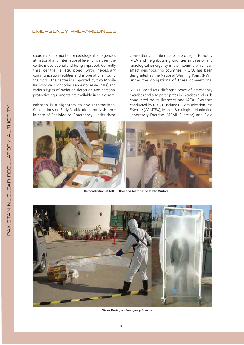#### **EMERGENCY PREPAREDNESS**

coordination of nuclear or radiological emergencies at national and international level. Since then the centre is operational and being improved. Currently this centre is equipped with necessary communication facilities and is operational round the clock. The centre is supported by two Mobile Radiological Monitoring Laboratories (MRMLs) and various types of radiation detection and personal protective equipments are available in this centre.

Pakistan is a signatory to the International Conventions on Early Notification and Assistance in case of Radiological Emergency. Under these conventions member states are obliged to notify IAEA and neighbouring counties in case of any radiological emergency in their country which can affect neighbouring countries. NRECC has been designated as the National Warning Point (NWP) under the obligations of these conventions.

NRECC conducts different types of emergency exercises and also participates in exercises and drills conducted by its licencees and IAEA. Exercises conducted by NRECC include COMmunication Test EXercise (COMTEX), Mobile Radiological Monitoring Laboratory Exercise (MRML Exercise) and Field



Demonstration of NRECC Role and Activities to Public Visitors



**Views During an Emergency Exercise**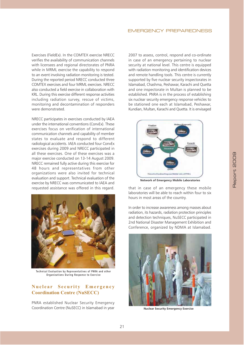Exercises (FieldEx). In the COMTEX exercise NRECC verifies the availability of communication channels with licensees and regional directorates of PNRA while in MRML exercise the capability to respond to an event involving radiation monitoring is tested. During the reported period NRECC conducted three COMTEX exercises and four MRML exercises NRECC also conducted a field exercise in collaboration with KRL. During this exercise different response activities including radiation survey, rescue of victims, monitoring and decontamination of responders were demonstrated.

NRECC participates in exercises conducted by IAEA under the international conventions (ConvEx). These exercises focus on verification of international communication channels and capability of member states to evaluate and respond to different radiological accidents. IAEA conducted four ConvEx exercises during 2009 and NRECC participated in all these exercises. One of these exercises was a major exercise conducted on 13-14 August 2009. NRECC remained fully active during this exercise for 48 hours and representatives from other organizations were also invited for technical evaluation and support. Technical evaluation of the exercise by NRECC was communicated to IAEA and requested assistance was offered in this regard.



Technical Evaluation by Representatives of PNRA and other Organizations During Response to Exercise

## **Nuclear Security Emergency Coordination Centre (NuSECC)**

PNRA established Nuclear Security Emergency Coordination Centre (NuSECC) in Islamabad in year

2007 to assess, control, respond and co-ordinate in case of an emergency pertaining to nuclear security at national level. This centre is equipped with radiation monitoring and identification devices and remote handling tools. This centre is currently supported by five nuclear security inspectorates in Islamabad, Chashma, Peshawar, Karachi and Quetta and one inspectorate in Multan is planned to be established. PNRA is in the process of establishing six nuclear security emergency response vehicles to be stationed one each at Islamabad, Peshawar, Kundian, Multan, Karachi and Quetta. It is envisaged



**Network of Emergency Mobile Laboratories** 

that in case of an emergency these mobile laboratories will be able to reach within four to six hours in most areas of the country.

In order to increase awareness among masses about radiation, its hazards, radiation protection principles and detection techniques, NuSECC participated in 2nd National Disaster Management Exhibition and Conference, organized by NDMA at Islamabad.



**Nuclear Security Emergency Exercise**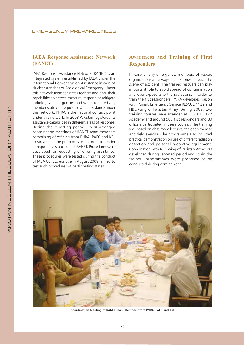## **IAEA Response Assistance Network** (RANET)

IAEA Response Assistance Network (RANET) is an integrated system established by IAEA under the International Convention on Assistance in case of Nuclear Accident or Radiological Emergency. Under this network member states register and pool their capabilities to detect, measure, respond or mitigate radiological emergencies and when required any member state can request or offer assistance under this network. PNRA is the national contact point under this network. In 2008 Pakistan registered its assistance capabilities in different areas of response. During the reporting period, PNRA arranged coordination meetings of RANET team members comprising of officials from PNRA, PAEC and KRL to streamline the pre-requisites in order to render or request assistance under RANET. Procedures were developed for requesting or offering assistance. These procedures were tested during the conduct of IAEA ConvEx exercise in August 2009, aimed to test such procedures of participating states.

## **Awareness and Training of First Responders**

In case of any emergency, members of rescue organizations are always the first ones to reach the scene of accident. The trained rescuers can play important role to avoid spread of contamination and over-exposure to the radiations. In order to train the first responders, PNRA developed liaison with Punjab Emergency Service RESCUE 1122 and NBC wing of Pakistan Army. During 2009, two training courses were arranged at RESCUE 1122 Academy and around 500 first responders and 80 officers participated in these courses. The training was based on class room lectures, table top exercise and field exercise. The programme also included practical demonstration on use of different radiation detection and personal protective equipment. Coordination with NBC wing of Pakistan Army was developed during reported period and "train the trainer" programmes were proposed to be conducted during coming year.



Coordination Meeting of RANET Team Members from PNRA, PAEC and KRL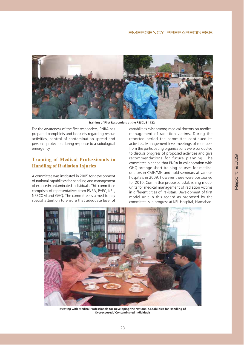

Training of First Responders at the RESCUE 1122

For the awareness of the first responders. PNRA has prepared pamphlets and booklets regarding rescue activities, control of contamination spread and personal protection during response to a radiological emergency.

## **Training of Medical Professionals in Handling of Radiation Injuries**

A committee was instituted in 2005 for development of national capabilities for handling and management of exposed/contaminated individuals. This committee comprises of representatives from PNRA, PAEC, KRL, NESCOM and GHQ. The committee is aimed to pay special attention to ensure that adequate level of

capabilities exist among medical doctors on medical management of radiation victims. During the reported period the committee continued its activities. Management level meetings of members from the participating organizations were conducted to discuss progress of proposed activities and give recommendations for future planning. The committee planned that PNRA in collaboration with GHQ arrange short training courses for medical doctors in CMH/MH and hold seminars at various hospitals in 2009; however these were postponed for 2010. Committee proposed establishing model units for medical management of radiation victims in different cities of Pakistan. Development of first model unit in this regard as proposed by the committee is in progress at KRL Hospital, Islamabad.



Meeting with Medical Professionals for Developing the National Capabilities for Handling of **Overexposed / Contaminated Individuals**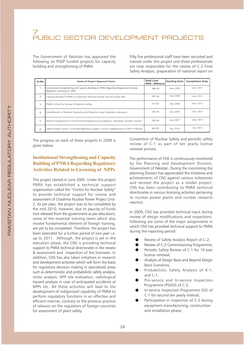The Government of Pakistan has approved the following six PSDP funded projects for capacity building and strengthening of PNRA:

Fifty five professional staff have been recruited and trained under this project and these professionals are now responsible for the review of C-2 Final Safety Analysis, preparation of national report on

| Sr.No.       | Name of Project /Approval Status                                                                                          | <b>Total Cost</b><br>(PKR., Millions) | <b>Starting Date</b> | <b>Completion Date</b> |
|--------------|---------------------------------------------------------------------------------------------------------------------------|---------------------------------------|----------------------|------------------------|
| 1.           | Institutional Strengthening and Capacity Building of PNRA Regarding Regulatory Activities<br>Related to Licensing of NPPs | 480.00                                | June, 2005           | June, 2011             |
| 2.           | Capacity Building of PNRA to Implement National Nuclear Security Action Plan                                              | 497.00                                | July, 2006           | June, 2011             |
| 3.           | PNRA's School for Nuclear & Radiation Safety                                                                              | 413.00                                | July, 2006           | June, 2012             |
| $\mathbf{4}$ | Establishment of National Dosimetry and Protection Level Calibration Laboratory                                           | 292.00                                | July, 2007           | June, 2013             |
| .5.          | National Programme on Environmental Radioactivity Surveillance, Islamabad, Kundian, Karachi                               | 263.00                                | July, 2007           | June, 2013             |
| 6.           | Safety Analysis Centre to Provide Regulatory Support and for Indigenization of NPP in Pakistan                            | 463.00                                | July, 2010           | July, 2015             |

The progress on each of these projects in 2009 is given below:

## **Institutional Strengthening and Capacity Building of PNRA Regarding Regulatory Activities Related to Licensing of NPPs**

This project started in June 2005. Under this project PNRA has established a technical support organization called the "Centre for Nuclear Safety" to provide technical support for review and assessment of Chashma Nuclear Power Project Unit-2. As per plan, the project was to be completed by the mid 2010, however, due to paucity of funds (not released from the government as per allocation), some of the essential training items which also involve fundamental element of foreign training, are yet to be completed. Therefore, the project has been extended for a further period of one year i.e. up to 2011. Although, the project is yet in the execution phase, the CNS is providing technical support to PNRA technical directorates in the review & assessment and inspection of the licensees. In addition, CNS has also taken initiatives in research and development activities which will form the basis for regulatory decision making in specialized areas such as deterministic and probabilistic safety analysis, stress analysis, NPP site evaluation, radiological hazard analysis in case of anticipated accidents at NPPs etc. All these activities will lead to the development of indigenized capability of PNRA to perform regulatory functions in an effective and efficient manner, contrary to the previous practice of reliance on the regulators of foreign countries for assessment of plant safety.

Convention of Nuclear Safety and periodic safety review of C-1 as part of ten yearly license renewal process.

The performance of CNS is continuously monitored by the Planning and Development Division, Government of Pakistan. During the monitoring the planning Division has appreciated the initiatives and achievements of CNS against various milestones and termed the project as a model project. CNS has been contributing to PNRA technical directorates in various licensing activities pertaining to nuclear power plants and nuclear research reactors.

In 2009, CNS has provided technical input during review of design modifications and inspections. Following are some of the major assignments in which CNS has provided technical support to PNRA during the reporting period:

- Review of Safety Analysis Report of C-2;
- Review of C-2 Commissioning Programme:
- Periodic Safety Review of C-1 for 10 year license renewal;
- Analysis of Design Basis and Beyond Design **Basis Scenarios;**
- Probabilistic Safety Analysis of K-1, and  $C-1$ :
- Pre-service and In-service Inspection Programme (PSI/ISI) of C-2:
- In-service Inspection Programme (ISI) of C-1 for second ten yearly interval;
- Participation in inspection of C-2 during equipment manufacturing, construction and installation phase: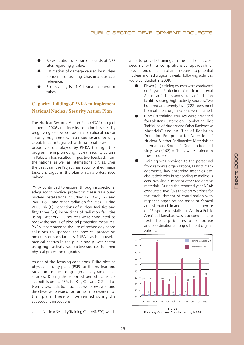- Re-evaluation of seismic hazards at NPP sites regarding g-value;
- Estimation of damage caused by nuclear accident considering Chashma Site as a reference;
- Stress analysis of K-1 steam generator tubes

## **Capacity Building of PNRA to Implement National Nuclear Security Action Plan**

The Nuclear Security Action Plan (NSAP) project started in 2006 and since its inception it is steadily progressing to develop a sustainable national nuclear security programme with a response and recovery capabilities, integrated with national laws. The proactive role played by PNRA through this programme in promoting nuclear security culture in Pakistan has resulted in positive feedback from the national as well as international circles. Over the past year, the Project has accomplished major tasks envisaged in the plan which are described below:

PNRA continued to ensure, through inspections, adequacy of physical protection measures around nuclear installations including K-1, C-1, C-2 and PARR-I & II and other radiation facilities. During 2009, six (6) inspections of nuclear facilities and fifty three (53) inspections of radiation facilities using Category 1-3 sources were conducted to review the status of physical protection measures. PNRA recommended the use of technology based solutions to upgrade the physical protection measures on such facilities. PNRA is assisting twelve medical centres in the public and private sector using high activity radioactive sources for their physical protection upgrades.

As one of the licensing conditions, PNRA obtains physical security plans (PSP) for the nuclear and radiation facilities using high activity radioactive sources. During the reported period licensee's submittals on the PSPs for K-1, C-1 and C-2 and of twenty two radiation facilities were reviewed and directives were issued for further improvement of their plans. These will be verified during the subsequent inspections.

Under Nuclear Security Training Centre(NSTC) which

aims to provide trainings in the field of nuclear security with a comprehensive approach of prevention, detection of and response to potential nuclear and radiological threats, following activities were conducted in 2009:

- Eleven (11) training courses were conducted on Physical Protection of nuclear material & nuclear facilities and security of radiation facilities using high activity sources. Two hundred and twenty two (222) personnel from different organizations were trained.
- Nine (9) training courses were arranged for Pakistan Customs on "Combating Illicit Trafficking of Nuclear and Other Radioactive Materials" and on "Use of Radiation Detection Equipment for Detection of Nuclear & other Radioactive Materials at International Borders". One hundred and sixty two (162) officials were trained in these courses
- Training was provided to the personnel from response organizations, District managements, law enforcing agencies etc. about their roles in responding to malicious acts involving nuclear or other radioactive materials. During the reported year NSAP conducted two (02) tabletop exercises for the establishment of coordination with response organizations based at Karachi and Islamabad. In addition, a field exercise on "Response to Malicious Act in a Public Area" at Islamabad was also conducted to test the capabilities of response and coordination among different organizations.



**Training Courses Conducted by NSAP**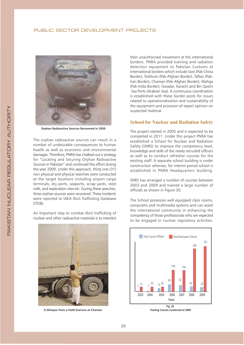

**Orphan Radioactive Sources Recovered in 2009** 

The orphan radioactive sources can result in a number of undesirable consequences to human health as well as economic and environmental damages. Therefore, PNRA has chalked out a strategy for "Locating and Securing Orphan Radioactive Sources in Pakistan" and continued this effort during the year 2009. Under this approach, thirty one (31) non-physical and physical searches were conducted at the target locations including airport cargo terminals, dry ports, seaports, scrap yards, steel mills, and exploration sites etc. During these searches, three orphan sources were recovered. These incidents were reported to IAEA Illicit Trafficking Database  $(ITDB).$ 

An important step to combat illicit trafficking of nuclear and other radioactive materials is to interdict



A Glimpse from a Field Exercise at Chaman

their unauthorised movement at the international borders. PNRA provided training and radiation detection equipment to Pakistan Customs at International borders which include Sost (Pak-China Border), Torkhum (Pak-Afghan Border), Taftan (Pak-Iran Border), Chaman (Pak-Afghan Border), Wahga (Pak-India Border), Gwadar, Karachi and Bin Qasim Sea Ports (Arabian Sea). A continuous coordination is established with these border posts for issues related to operationalization and sustainability of the equipment and provision of expert opinion on suspected material.

### **School for Nuclear and Radiation Safety**

The project started in 2005 and is expected to be completed in 2011. Under this project PNRA has established a School for Nuclear and Radiation Safety (SNRS) to improve the competency level, knowledge and skills of the newly recruited officers as well as to conduct refresher courses for the existing staff. A separate school building is under construction whereas, for interim period school is established in PNRA Headquarters building.

SNRS has arranged a number of courses between 2003 and 2009 and trained a large number of officials as shown in Figure 30.

The School possesses well equipped class rooms, computers and multimedia systems and can assist the international community in enhancing the competency of those professionals who are expected to be engaged in nuclear regulatory activities.



**Training Courses Conducted at SNRS**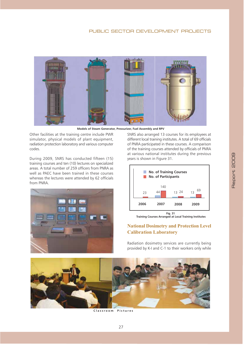

Models of Steam Generator, Pressurizer, Fuel Assembly and RPV

Other facilities at the training centre include PWR simulator, physical models of plant equipment, radiation protection laboratory and various computer codes.

During 2009, SNRS has conducted fifteen (15) training courses and ten (10) lectures on specialized areas. A total number of 259 officers from PNRA as well as PAEC have been trained in these courses whereas the lectures were attended by 62 officials from PNRA.



SNRS also arranged 13 courses for its employees at different local training institutes. A total of 69 officials of PNRA participated in these courses. A comparison of the training courses attended by officials of PNRA at various national institutes during the previous years is shown in Figure 31.



Fig. 31<br>Training Courses Arranged at Local Training Institutes

## **National Dosimetry and Protection Level Calibration Laboratory**

Radiation dosimetry services are currently being provided by K-I and C-1 to their workers only while



Classroom Pictures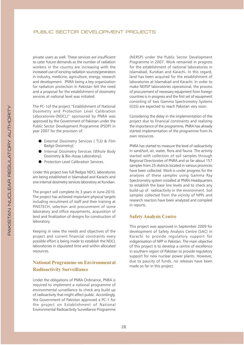private users as well. These services are insufficient to cater future demands as the number of radiation workers in the country are increasing with the increased use of ionizing radiation sources/generators in industry, medicine, agriculture, energy, research and development. PNRA being a key organization for radiation protection in Pakistan felt the need and a proposal for the establishment of dosimetry services at national level was initiated.

The PC-1of the project "Establishment of National Dosimetry and Protection Level Calibration Laboratories-(NDCL)" sponsored by PNRA was approved by the Government of Pakistan under the Public Sector Development Programme (PSDP) in year 2007 for the provision of:

- External Dosimetry Services (TLD & Film Badge Dosimetry);
- Internal Dosimetry Services (Whole Body Dosimetry & Bio-Assay Laboratory);
- Protection Level Calibration Services.

Under this project two full fledges NDCL laboratories are being established in Islamabad and Karachi and one internal dosimetry services laboratory at Kundian.

The project will complete its 3 years in June-2010. The project has achieved important physical targets including recruitment of staff and their training at PINSTECH, selection and procurement of some laboratory and office equipments, acquisition of land and finalization of designs for construction of laboratory.

Keeping in view the needs and objectives of the project and current financial constraints every possible effort is being made to establish the NDCL laboratories in stipulated time and within allocated resources.

## **National Programme on Environmental Radioactivity Surveillance**

Under the obligations of PNRA Ordinance, PNRA is required to implement a national programme of environmental surveillance to check any build up of radioactivity that might affect public. Accordingly, the Government of Pakistan approved a PC-1 for the project on Establishment of National Environmental Radioactivity Surveillance Programme (NERSP) under the Public Sector Development Programme in 2007. Work remained in progress for the establishment of national laboratories in Islamabad, Kundian and Karachi. In this regard, land has been acquired for the establishment of laboratories at Islamabad and Karachi. In order to make NERSP laboratories operational, the process of procurement of necessary equipment from foreign countries is in progress and the first set of equipment consisting of two Gamma Spectrometry Systems (GSS) are expected to reach Pakistan very soon.

Considering the delay in the implementation of the project due to financial constraints and realizing the importance of the programme, PNRA has already started implementation of the programme from its own resources.

PNRA has started to measure the level of radioactivity in sand/soil, air, water, flora and fauna. The activity started with collection of soil samples through Regional Directorates of PNRA and so far about 157 samples from 25 districts located in various provinces have been collected. Work is under progress for the analyses of these samples using Gamma Ray Spectrometry system installed at PNRA Headquarters to establish the base line levels and to check any build-up of radioactivity in the environment. Soil samples collected from the vicinity of NPPs and research reactors have been analyzed and compiled in reports.

#### **Safety Analysis Centre**

This project was approved in September 2009 for development of Safety Analysis Centre (SAC) in Karachi to provide regulatory support for indigenisation of NPP in Pakistan. The main objective of this project is to develop a centre of excellence in southern region of Pakistan to provide regulatory support for new nuclear power plants. However, due to paucity of funds, no releases have been made so far in this project.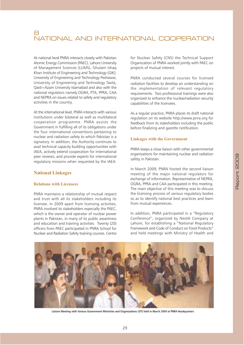Report 2009

# NATIONAL AND INTERNATIONAL COOPERATION

At national level PNRA interacts closely with Pakistan Atomic Energy Commission (PAEC), Lahore University of Management Sciences (LUMS), Ghulam Ishaq Khan Institute of Engineering and Technology (GIK), University of Engineering and Technology Peshawar, University of Engineering and Technology Taxila, Qaid-i-Azam University Islamabad and also with the national regulators namely OGRA, PTA, PPRA, CAA and NEPRA on issues related to safety and regulatory activities in the country.

At the international level, PNRA interacts with various institutions under bilateral as well as multilateral cooperation programme. PNRA assists the Government in fulfilling all of its obligations under the four international conventions pertaining to nuclear and radiation safety to which Pakistan is a signatory. In addition, the Authority continues to avail technical capacity building opportunities with IAEA, actively extend cooperation for international peer reviews, and provide experts for international regulatory missions when requested by the IAEA.

## **National Linkages**

#### **Relations with Licensees**

PNRA maintains a relationship of mutual respect and trust with all its stakeholders including its licensee. In 2009 apart from licensing activities, PNRA involved its stakeholders especially the PAEC, which is the owner and operator of nuclear power plants in Pakistan, in many of its public awareness and education and training activities. Twenty (20) officers from PAEC participated in PNRA School for Nuclear and Radiation Safety training courses. Centre

for Nuclear Safety (CNS) the Technical Support Organization of PNRA worked jointly with PAEC on projects of mutual interest.

PNRA conducted several courses for licensed radiation facilities to develop an understanding on the implementation of relevant regulatory requirements. Two professional trainings were also organized to enhance the nuclear/radiation security capabilities of the licensees.

As a regular practice, PNRA places its draft national regulation on its website http://www.pnra.org for feedback from its stakeholders including the public before finalizing and gazette notification.

#### **Linkages with the Government**

PNRA keeps a close liaison with other governmental organizations for maintaining nuclear and radiation safety in Pakistan.

In March 2009, PNRA hosted the second liaison meeting of the major national regulators for exchange of information. Representative of NEPRA, OGRA, PPRA and CAA participated in this meeting. The main objective of this meeting was to discuss the licensing process of various regulatory bodies so as to identify national best practices and learn from mutual experiences.

In addition, PNRA participated in a "Regulatory Conference", organized by Nestlé Company at Lahore, for establishing a "National Regulatory Framework and Code of Conduct on Food Products" and held meetings with Ministry of Health and



Liaison Meeting with Various Government Ministries and Organizations (STI) held in March 2009 at PNRA Headquarters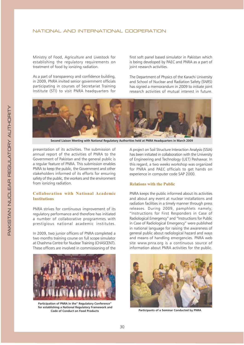Ministry of Food, Agriculture and Livestock for establishing the regulatory requirements on treatment of food by ionizing radiation.

As a part of transparency and confidence building, in 2009, PNRA invited senior government officials participating in courses of Secretariat Training Institute (STI) to visit PNRA headquarters for first soft panel based simulator in Pakistan which is being developed by PAEC and PNRA as a part of joint research activities.

The Department of Physics of the Karachi University and School of Nuclear and Radiation Safety (SNRS) has signed a memorandum in 2009 to initiate joint research activities of mutual interest in future.



Second Liaison Meeting with National Regulatory Authorities held at PNRA Headquarters in March 2009

presentation of its activities. The submission of annual report of the activities of PNRA to the Government of Pakistan and the general public is a regular feature of PNRA. This submission enables PNRA to keep the public, the Government and other stakeholders informed of its efforts for ensuring safety of the public, the workers and the environment from ionizing radiation.

## **Collaboration with National Academic Institutions**

PNRA strives for continuous improvement of its regulatory performance and therefore has initiated a number of collaborative programmes with prestigious national academic institutes.

In 2009, two junior officers of PNRA completed a two months training course on full scope simulator at Chashma Centre for Nuclear Training (CHASCENT). These officers are involved in commissioning of the



Participation of PNRA in the" Regulatory Conference" for establishing a National Regulatory Framework and Code of Conduct on Food Products

A project on Soil Structure Interaction Analysis (SSIA) has been initiated in collaboration with the University of Engineering and Technology (UET) Peshawar. In this regard, a two weeks workshop was organized for PNRA and PAEC officials to get hands on experience in computer code SAP 2000.

#### **Relations with the Public**

PNRA keeps the public informed about its activities and about any event at nuclear installations and radiation facilities in a timely manner through press releases. During 2009, pamphlets namely; "Instructions for First Responders in Case of Radiological Emergency" and "Instructions for Public in Case of Radiological Emergency" were published in national language for raising the awareness of general public about radiological hazard and ways and means of handling emergencies. PNRA web site www.pnra.org is a continuous source of information about PNRA activities for the public.



Participants of a Seminar Conducted by PNRA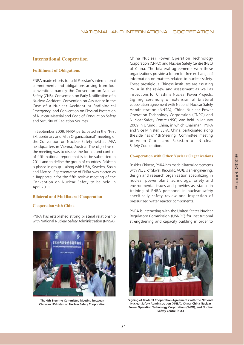### NATIONAL AND INTERNATIONAL COOPERATION

## **International Cooperation**

## **Fulfillment of Obligations**

PNRA made efforts to fulfil Pakistan's international commitments and obligations arising from four conventions namely the Convention on Nuclear Safety (CNS), Convention on Early Notification of a Nuclear Accident, Convention on Assistance in the Case of a Nuclear Accident or Radiological Emergency; and Convention on Physical Protection of Nuclear Material and Code of Conduct on Safety and Security of Radiation Sources.

In September 2009, PNRA participated in the "First Extraordinary and Fifth Organizational" meeting of the Convention on Nuclear Safety held at IAEA headquarters in Vienna, Austria. The objective of the meeting was to discuss the format and content of fifth national report that is to be submitted in 2011 and to define the group of countries. Pakistan is placed in group 1 along with USA, Sweden, Spain and Mexico. Representative of PNRA was elected as a Rapporteur for the fifth review meeting of the Convention on Nuclear Safety to be held in April 2011.

#### **Bilateral and Multilateral Cooperation**

#### **Cooperation with China**

PNRA has established strong bilateral relationship with National Nuclear Safety Administration (NNSA),

【其次中开放姿态会杂发显示耳会+

The 4th Steering Committee Meeting between China and Pakistan on Nuclear Safety Cooporation

China Nuclear Power Operation Technology Corporation (CNPO) and Nuclear Safety Centre (NSC) of China. The bilateral agreements with these organizations provide a forum for free exchange of information on matters related to nuclear safety. These prestigious Chinese institutes are assisting PNRA in the review and assessment as well as inspections for Chashma Nuclear Power Projects. Signing ceremony of extension of bilateral cooperation agreement with National Nuclear Safety Administration (NNSA), China Nuclear Power Operation Technology Corporation (CNPO) and Nuclear Safety Centre (NSC) was held in January 2009 in Urumgi, China, in which Chairman, PNRA and Vice Minister, SEPA, China, participated along the sidelines of 4th Steering Committee meeting between China and Pakistan on Nuclear Safety Cooperation.

#### **Co-operation with Other Nuclear Organizations**

Besides Chinese, PNRA has made bilateral agreements with VUJE, of Slovak Republic. VUJE is an engineering, design and research organization specializing in nuclear power plant technology, safety and environmental issues and provides assistance in training of PNRA personnel in nuclear safety specifically safety review and inspection of pressurized water reactor components.

PNRA is interacting with the United States Nuclear Regulatory Commission (USNRC) for institutional strengthening and capacity building in order to



Signing of Bilateral Cooperation Agreements with the National Nuclear Safety Administration (NNSA), China, China Nuclear Power Operation Technology Corporation (CNPO), and Nuclear Safety Centre (NSC)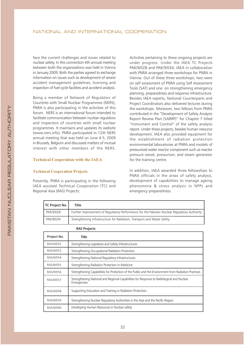face the current challenges and issues related to nuclear safety. In this connection 4th annual meeting between both the organizations was held in Vienna in January 2009. Both the parties agreed to exchange information on issues such as development of severe accident management guidelines, licensing and inspection of fuel cycle facilities and accident analysis.

Being a member of Network of Regulators of Countries with Small Nuclear Programmes (NERS), PNRA is also participating in the activities of this forum. NERS is an international forum intended to facilitate communication between nuclear regulators and inspectors of countries with small nuclear programmes. It maintains and updates its website (www.ners.info). PNRA participated in 12th NERS annual meeting that was held on June 4-5, 2009 in Brussels, Belgium and discussed matters of mutual interest with other members of the NERS.

#### **Technical Cooperation with the IAEA**

#### **Technical Cooperation Projects**

Presently, PNRA is participating in the following IAEA assisted Technical Cooperation (TC) and Regional Asia (RAS) Projects:

Activities pertaining to these ongoing projects are under progress. Under the IAEA TC Projects PAK/9/028 and PAK/9/034, IAEA in collaboration with PNRA arranged three workshops for PNRA in Vienna. Out of these three workshops, two were on self assessment of PNRA using Self Assessment Tools (SAT) and one on strengthening emergency planning, preparedness and response infrastructure. Besides IAEA experts, National Counterparts and Project Coordinators also delivered lectures during the workshops. Moreover, two fellows from PNRA contributed in the "Development of Safety Analysis Report Review Plan (SARRP)" for Chapter 7 titled "Instrument and Control" of the safety analysis report. Under these projects, besides human resource development, IAEA also provided equipment for the establishment of radiation protection environmental laboratories at PNRA and models of pressurized water reactor component such as reactor pressure vessel, pressurizer, and steam generator for the training centre.

In addition, IAEA awarded three fellowships to PNRA officials in the areas of safety analysis, development of capabilities to manage ageing phenomena & stress analysis in NPPs and emergency preparedness.

| TC Project No. | Title                                                                                       |
|----------------|---------------------------------------------------------------------------------------------|
| PAK/9/028      | Further Improvement of Regulatory Performance for the Pakistan Nuclear Regulatory Authority |
| PAK/9/034      | Strengthening Infrastructure for Radiation, Transport and Waste Safety                      |

| <b>RAS Projects</b> |                                                                                                          |  |
|---------------------|----------------------------------------------------------------------------------------------------------|--|
| Project No.         | Title                                                                                                    |  |
| RAS/9/052           | Strengthening Legislative and Safety Infrastructures                                                     |  |
| RAS/9/053           | Strengthening Occupational Radiation Protection                                                          |  |
| RAS/9/054           | Strengthening National Regulatory Infrastructures                                                        |  |
| RAS/9/055           | Strengthening Radiation Protection in Medicine                                                           |  |
| RAS/9/056           | Strengthening Capabilities for Protection of the Public and the Environment from Radiation Practices     |  |
| RAS/9/057           | Strengthening National and Regional Capabilities for Response to Radiological and Nuclear<br>Emergencies |  |
| RAS/9/058           | Supporting Education and Training in Radiation Protection                                                |  |
| RAS/9/059           | Strengthening Nuclear Regulatory Authorities in the Asia and the Pacific Region                          |  |
| RAS/9/060           | Developing Human Resources in Nuclear safety                                                             |  |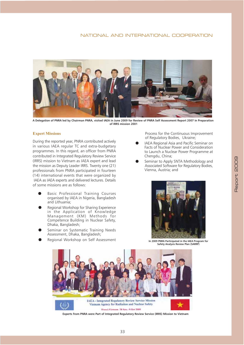## NATIONAL AND INTERNATIONAL COOPERATION



A Delegation of PNRA led by Chairman PNRA, visited IAEA in June 2009 for Review of PNRA Self Assessment Report 2007 in Preparation of IRRS mission 2001

### **Expert Missions**

During the reported year, PNRA contributed actively in various IAEA regular TC and extra-budgetary programmes. In this regard, an officer from PNRA contributed in Integrated Regulatory Review Service (IRRS) mission to Vietnam as IAEA expert and lead the mission as Deputy Leader IRRS. Twenty one (21) professionals from PNRA participated in fourteen (14) international events that were organized by IAEA as IAEA experts and delivered lectures. Details of some missions are as follows:

- Basic Professional Training Courses organised by IAEA in Nigeria, Bangladesh and Lithuania:
- Regional Workshop for Sharing Experience in the Application of Knowledge Management (KM) Methods for Competence Building in Nuclear Safety, Dhaka, Bangladesh;
- Seminar on Systematic Training Needs Assessment, Dhaka, Bangladesh;
- Regional Workshop on Self Assessment

Process for the Continuous Improvement of Regulatory Bodies, Ukraine;

- IAEA Regional Asia and Pacific Seminar on Facts of Nuclear Power and Consideration to Launch a Nuclear Power Programme at Chengdu, China;
- Seminar to Apply SNTA Methodology and Associated Software for Regulatory Bodies, Vienna, Austria; and



In 2009 PNRA Participated in the IAEA Program for Safety Analysis Review Plan (SARRP)



Experts from PNRA were Part of Integrated Regulatory Review Service (IRRS) Mission to Vietnam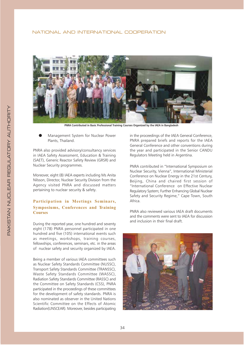#### NATIONAL AND INTERNATIONAL COOPERATION



PNRA Contributed in Basic Professional Training Courses Organized by the IAEA in Bangladesh

Management System for Nuclear Power Plants, Thailand.

PNRA also provided advisory/consultancy services in JAEA Safety Assessment, Education & Training (SAET), Generic Reactor Safety Review (GRSR) and Nuclear Security programmes.

Moreover, eight (8) IAEA experts including Ms Anita Nilsson, Director, Nuclear Security Division from the Agency visited PNRA and discussed matters pertaining to nuclear security & safety.

## Participation in Meetings Seminars, Symposiums, Conferences and Training **Courses**

During the reported year, one hundred and seventy eight (178) PNRA personnel participated in one hundred and five (105) international events such as meetings, workshops, training courses, fellowships, conferences, seminars, etc. in the areas of nuclear safety and security organized by IAEA.

Being a member of various IAEA committees such as Nuclear Safety Standards Committee (NUSSC), Transport Safety Standards Committee (TRANSSC), Waste Safety Standards Committee (WASSC), Radiation Safety Standards Committee (RASSC) and the Committee on Safety Standards (CSS), PNRA participated in the proceedings of these committees for the development of safety standards. PNRA is also nominated as observer in the United Nations Scientific Committee on the Effects of Atomic Radiation(UNSCEAR). Moreover, besides participating

in the proceedings of the IAEA General Conference, PNRA prepared briefs and reports for the IAEA General Conference and other conventions during the year and participated in the Senior CANDU Regulators Meeting held in Argentina.

PNRA contributed in "International Symposium on Nuclear Security, Vienna", International Ministerial Conference on Nuclear Energy in the 21st Century, Beijing, China and chaired first session of "International Conference on Effective Nuclear Regulatory System; Further Enhancing Global Nuclear Safety and Security Regime," Cape Town, South Africa.

PNRA also reviewed various IAEA draft documents and the comments were sent to IAEA for discussion and inclusion in their final draft.

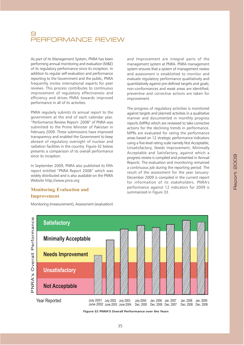# PERFORMANCE REVIEW

As part of its Management System, PNRA has been performing annual monitoring and evaluation (M&E) of its regulatory performance since its inception. In addition to regular self-evaluation and performance reporting to the Government and the public, PNRA frequently invites international experts for peer reviews. This process contributes to continuous improvement of regulatory effectiveness and efficiency and drives PNRA towards improved performance in all of its activities.

PNRA regularly submits its annual report to the government at the end of each calendar year. "Performance Review Report- 2008" of PNRA was submitted to the Prime Minister of Pakistan in February 2009. These submissions have improved transparency and enabled the Government to keep abreast of regulatory oversight of nuclear and radiation facilities in the country. Figure-32 below presents a comparison of its overall performance since its inception.

In September 2009, PNRA also published its fifth report entitled "PNRA Report 2008" which was widely distributed and is also available on the PNRA Website http://www.pnra.org

## **Monitoring, Evaluation and Improvement**

Monitoring (measurement), Assessment (evaluation)

and Improvement are integral parts of the management system at PNRA. PNRA management system ensures that a system of management review and assessment is established to monitor and evaluate regulatory performance qualitatively and quantitatively against pre-defined targets and goals; non-conformances and weak areas are identified: preventive and corrective actions are taken for improvement.

The progress of regulatory activities is monitored against targets and planned activities in a qualitative manner and documented in monthly progress reports (MPRs) which are reviewed to take corrective actions for the declining trends in performance. MPRs are evaluated for rating the performance areas based on 12 strategic performance indicators using a five-level rating scale namely Not Acceptable, Unsatisfactory, Needs Improvement, Minimally Acceptable and Satisfactory, against which a progress review is compiled and presented in Annual Reports. The evaluation and monitoring remained a continuous job during the reporting period. The result of the assessment for the year January-December 2009 is compiled in the current report for information of its stakeholders. PNRA's performance against 12 indicators for 2009 is summarized in Figure 33.



Figure-32 PNRA'S Overall Performance over the Years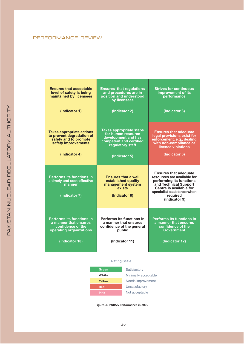## PERFORMANCE REVIEW

I

| <b>Ensures that acceptable</b><br>level of safety is being<br>maintained by licensees                                          | <b>Ensures that requiations</b><br>and procedures are in<br>position and understood<br>by licensees                                         | <b>Strives for continuous</b><br>improvement of its<br>performance                                                                                                                                     |
|--------------------------------------------------------------------------------------------------------------------------------|---------------------------------------------------------------------------------------------------------------------------------------------|--------------------------------------------------------------------------------------------------------------------------------------------------------------------------------------------------------|
| (Indicator 1)                                                                                                                  | (Indicator 2)                                                                                                                               | (Indicator 3)                                                                                                                                                                                          |
| <b>Takes appropriate actions</b><br>to prevent degradation of<br>safety and to promote<br>safety improvements<br>(Indicator 4) | <b>Takes appropriate steps</b><br>for human resource<br>development and has<br>competent and certified<br>requiatory staff<br>(Indicator 5) | <b>Ensures that adequate</b><br>legal provisions exist for<br>enforcement, e.g., dealing<br>with non-compliance or<br>licence violations<br>(Indicator 6)                                              |
| <b>Performs its functions in</b><br>a timely and cost-effective<br>manner<br>(Indicator 7)                                     | <b>Ensures that a well</b><br>established quality<br>management system<br>exists<br>(Indicator 8)                                           | <b>Ensures that adequate</b><br>resources are available for<br>performing its functions<br>and Technical Support<br>Centre is available for<br>specialist assistance when<br>required<br>(Indicator 9) |
| <b>Performs its functions in</b><br>a manner that ensures<br>confidence of the<br>operating organizations<br>(Indicator 10)    | Performs its functions in<br>a manner that ensures<br>confidence of the general<br>public<br>(Indicator 11)                                 | <b>Performs its functions in</b><br>a manner that ensures<br>confidence of the<br>Government<br>(Indicator 12)                                                                                         |

### **Rating Scale**



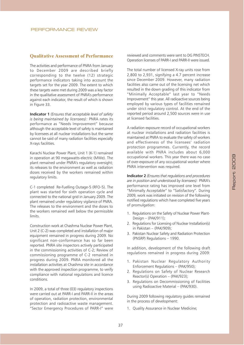## **Qualitative Assessment of Performance**

The activities and performance of PNRA from January to December 2009 are described briefly corresponding to the twelve (12) strategic performance indicators taking into account the targets set for the year 2009. The extent to which these targets were met during 2009 was a key factor in the qualitative assessment of PNRA's performance against each indicator, the result of which is shown in Figure 33.

**Indicator 1** (Ensures that acceptable level of safety is being maintained by licensees): PNRA rates its performance as "Needs Improvement" because although the acceptable level of safety is maintained by licensees at all nuclear installations but the same cannot be said of many radiation facilities especially X-rays facilities.

Karachi Nuclear Power Plant, Unit 1 (K-1) remained in operation at 90 megawatts-electric (MWe). The plant remained under PNRA's regulatory oversight: its releases to the environment as well as radiation doses received by the workers remained within regulatory limits.

C-1 completed Re-Fuelling Outage-5 (RFO-5). The plant was started for sixth operation cycle and connected to the national grid in January 2009. The plant remained under regulatory vigilance of PNRA. The releases to the environment and the doses to the workers remained well below the permissible limits

Construction work at Chashma Nuclear Power Plant. Unit 2 (C-2) was completed and installation of major equipment remained in progress during 2009. No significant non-conformance has so far been reported. PNRA site inspectors actively participated in the commissioning activities of C-2; Review of commissioning programme of C-2 remained in progress during 2009. PNRA monitored all the installation activities at Chashma site in accordance with the approved inspection programme, to verify compliance with national regulations and licence conditions.

In 2009, a total of three (03) regulatory inspections were carried out at PARR-I and PARR-II in the areas of operation, radiation protection, environmental protection and radioactive waste management. "Sector Emergency Procedures of PARR-I" were reviewed and comments were sent to DG PINSTECH. Operation licenses of PARR-Land PARR-IL were issued

The total number of licensed X-ray units rose from 2,800 to 2,931, signifying a 4.7 percent increase since December 2009. However, many radiation facilities also came out of the licensing net which resulted in the down grading of this indicator from "Minimally Acceptable" last year to "Needs Improvement" this year. All radioactive sources being employed by various types of facilities remained under strict regulatory control. At the end of the reported period around 2,500 sources were in use at licensed facilities.

A radiation exposure record of occupational workers at nuclear installations and radiation facilities is maintained at PNRA to evaluate the safety of workers and effectiveness of the licensees' radiation protection programmes. Currently, the record available with PNRA includes about 6,000 occupational workers. This year there was no case of over-exposure of any occupational worker where PNRA intervention was required.

**Indicator 2** (Ensures that regulations and procedures are in position and understood by licensees): PNRA's performance rating has improved one level from "Minimally Acceptable" to "Satisfactory". During 2009, work was initiated on revision of the following notified regulations which have completed five years of promulgation:

- 1. Regulations on the Safety of Nuclear Power Plant-Design - (PAK/911);
- 2. Regulations for Licensing of Nuclear Installation(s) in Pakistan - (PAK/909);
- 3. Pakistan Nuclear Safety and Radiation Protection (PNSRP) Regulations - 1990.

In addition, development of the following draft regulations remained in progress during 2009:

- 1. Pakistan Nuclear Regulatory Authority Enforcement Regulations - (PAK/950);
- 2. Regulations on Safety of Nuclear Research Reactor(s) Operation - (PAK/923);
- 3. Regulations on Decommissioning of Facilities using Radioactive Material - (PAK/930).

During 2009 following regulatory guides remained in the process of development:

1. Quality Assurance in Nuclear Medicine;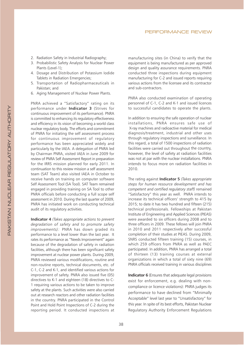- 2. Radiation Safety in Industrial Radiography;
- 3. Probabilistic Safety Analysis for Nuclear Power Plants (Level-1):
- 4. Dosage and Distribution of Potassium Iodide Tablets in Radiation Emergencies;
- 5. Transportation of Radiopharmaceuticals in Pakistan: and
- 6. Aging Management of Nuclear Power Plants.

PNRA achieved a "Satisfactory" rating on its performance under Indicator 3 (Strives for continuous improvement of its performance). PNRA is committed to enhancing its regulatory effectiveness and efficiency in its vision of becoming a world class nuclear regulatory body. The efforts and commitment of PNRA for initiating the self assessment process for continuous improvement of regulatory performance has been appreciated widely and particularly by the IAEA. A delegation of PNRA led by Chairman PNRA, visited IAEA in June 2009 for review of PNRA Self Assessment Report in preparation for the IRRS mission planned for early 2011. In continuation to this review mission a self assessment team (SAT Team) also visited IAEA in October to receive hands on training on computer software Self Assessment Tool (SA Tool). SAT Team remained engaged in providing training on SA Tool to other PNRA officials before conducting a full scope self assessment in 2010. During the last quarter of 2009, PNRA has initiated work on conducting technical audit of its regulatory activities.

Indicator 4 (Takes appropriate actions to prevent degradation of safety and to promote safety improvements): PNRA has down graded its performance to a level lower than the last year. It rates its performance as "Needs Improvement" again because of the degradation of safety in radiation facilities, although there has been significant safety improvement at nuclear power plants. During 2009, PNRA reviewed various modifications, routine and non-routine reports, technical documents, etc. of C-1, C-2 and K-1, and identified various actions for improvement of safety. PNRA also issued five (05) directives to K-1 and eighteen (18) directives to C-1 requiring various actions to be taken to improve safety at the plants. Such activities were also carried out at research reactors and other radiation facilities in the country. PNRA participated in the Control Point and Hold Point Inspections of C-2 during the reporting period. It conducted inspections at

manufacturing sites (in China) to verify that the equipment is being manufactured as per approved design and quality assurance requirements. PNRA conducted three inspections during equipment manufacturing for C-2 and issued reports requiring various actions from the licensee and its contractor and sub-contractors.

PNRA also conducted examination of operating personnel of C-1, C-2 and K-1 and issued licences to successful candidates to operate the plants.

In addition to ensuring the safe operation of nuclear installations. PNRA ensures safe use of X-ray machines and radioactive material for medical diagnosis/treatment, industrial and other uses through regulatory inspections and surveillance. In this regard, a total of 1500 inspections of radiation facilities were carried out throughout the country, however, the level of safety at radiation facilities was not at par with the nuclear installations. PNRA intends to focus more on radiation facilities in  $2010.$ 

The rating against **Indicator 5** (Takes appropriate steps for human resource development and has competent and certified regulatory staff) remained "Satisfactory" this year as well. PNRA intends to increase its technical officers' strength to 415 by 2015; to date it has two hundred and fifteen (215) technical professionals. Fellowships at Pakistan Institute of Engineering and Applied Sciences (PIEAS) were awarded to six officers during 2008 and to three officers in 2009. These fellows will join PNRA in 2010 and 2011 respectively after successful completion of their studies at PIEAS. During 2009, SNRS conducted fifteen training (15) courses, in which 259 officers from PNRA as well as PAEC participated. In addition, PNRA has arranged a total of thirteen (13) training courses at external organizations in which a total of sixty nine (69) PNRA officials received training in various disciplines

**Indicator 6** (Ensures that adequate legal provisions exist for enforcement, e.g. dealing with noncompliance or licence violations): PNRA judges its performance to have declined from "Minimally Acceptable" level last year to "Unsatisfactory" for this year. In spite of its best efforts, Pakistan Nuclear Regulatory Authority Enforcement Regulations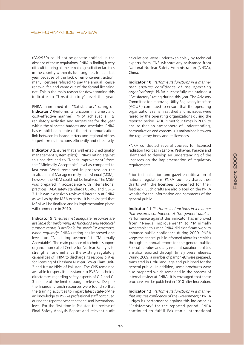(PAK/950) could not be gazette notified. In the absence of these regulations, PNRA is finding it very difficult to bring all the remaining radiation facilities in the country within its licensing net. In fact, last year because of the lack of enforcement action, many licensees refused to pay the annual license renewal fee and came out of the formal licensing net. This is the main reason for downgrading this indicator to "Unsatisfactory" level this year.

PNRA maintained it's "Satisfactory" rating on **Indicator 7** (Performs its functions in a timely and cost-effective manner). PNRA achieved all its regulatory activities and targets set for the year within the allocated budgets and schedules. PNRA has established a state-of-the-art communication link between its headquarters and regional offices to perform its functions efficiently and effectively.

**Indicator 8** (Ensures that a well established quality management system exists): PNRA's rating against this has declined to "Needs Improvement" from the "Minimally Acceptable" level as compared to last year. Work remained in progress on the finalization of Management System Manual (MSM), however, the MSM could not be finalized. The MSM was prepared in accordance with international practices, IAEA safety standards GS-R-3 and GS-G-3.1; it was extensively reviewed internally at PNRA as well as by the IAEA experts. It is envisaged that MSM will be finalized and its implementation phase will commence in 2010.

**Indicator 9** (Ensures that adequate resources are available for performing its functions and technical support centre is available for specialist assistance when required): PNRA's rating has improved one level from "Needs Improvement" to "Minimally Acceptable". The main purpose of technical support organization called Centre for Nuclear Safety is to strengthen and enhance the existing regulatory capabilities of PNRA to discharge its responsibilities for licensing of Chashma Nuclear Power Plant Unit-2 and future NPPs of Pakistan. The CNS remained available for specialist assistance to PNRAs technical directorates regarding safety aspects of C-2 and C-3 in spite of the limited budget releases. Despite the financial crunch resources were found so that the training activities to impart latest state-of-the art knowledge to PNRAs professional staff continued during the reported year at national and international level. For the first time in Pakistan the review of Final Safety Analysis Report and relevant audit

calculations were undertaken solely by technical experts from CNS without any assistance from National Nuclear Safety Administration (NNSA), China

**Indicator 10** (Performs its functions in a manner that ensures confidence of the operating organizations): PNRA successfully maintained a "Satisfactory" rating during this year. The Advisory Committee for Improving Utility-Regulatory Interface (ACIURI) continued to ensure that the operating organizations remain satisfied and no issues were raised by the operating organizations during the reported period. ACIURI met four times in 2009 to ensure that an atmosphere of understanding, harmonization and consensus is maintained between the regulatory body and its licensees.

PNRA conducted several courses for licensed radiation facilities in Lahore, Peshawar, Karachi and Islamabad to develop an understanding of the licensees on the implementation of regulatory requirements.

Prior to finalization and gazette notification of national regulations, PNRA routinely shares their drafts with the licensees concerned for their feedback. Such drafts are also placed on the PNRA website for the information and comments of the general public.

Indicator 11 (Performs its functions in a manner that ensures confidence of the general public): Performance against this indicator has improved from "Needs Improvement" to "Minimally Acceptable" this year. PNRA did significant work to enhance public confidence during 2009. PNRA keeps the general public informed about its activities through its annual report for the general public. Special activities and any event at radiation facilities are also reported through timely press releases. During 2009, a number of pamphlets were prepared, translated in Urdu language and published for the general public. In addition, some brochures were also prepared which remained in the process of internal review at PNRA. It is envisaged that these brochures will be published in 2010 after finalization.

**Indicator 12** (Performs its functions in a manner that ensures confidence of the Government): PNRA judges its performance against this indicator as "Satisfactory" for the reported period. PNRA continued to fulfill Pakistan's international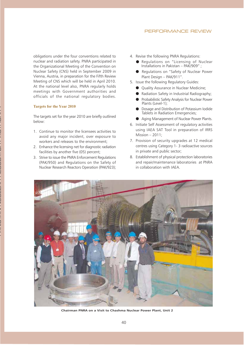#### PERFORMANCE REVIEW

obligations under the four conventions related to nuclear and radiation safety. PNRA participated in the Organizational Meeting of the Convention on Nuclear Safety (CNS) held in September 2009 in Vienna, Austria, in preparation for the Fifth Review Meeting of CNS which will be held in April 2010. At the national level also, PNRA regularly holds meetings with Government authorities and officials of the national regulatory bodies.

#### **Targets for the Year 2010**

The targets set for the year 2010 are briefly outlined below:

- 1. Continue to monitor the licensees activities to avoid any major incident, over exposure to workers and releases to the environment;
- 2. Enhance the licensing net for diagnostic radiation facilities by another five (05) percent;
- 3. Strive to issue the PNRA Enforcement Regulations (PAK/950) and Regulations on the Safety of Nuclear Research Reactors Operation (PAK/923);
- 4. Revise the following PNRA Regulations:
	- Regulations on "Licensing of Nuclear Installations in Pakistan PAK/909";
	- Regulations on "Safety of Nuclear Power Plant Design - PAK/911".
- 5. Issue the following Regulatory Guides:
	- Quality Assurance in Nuclear Medicine;
	- Radiation Safety in Industrial Radiography;
	- Probabilistic Safety Analysis for Nuclear Power Plants (Level-1);
	- Dosage and Distribution of Potassium Iodide Tablets in Radiation Emergencies;
	- Aging Management of Nuclear Power Plants.
- 6. Initiate Self Assessment of regulatory activities using IAEA SAT Tool in preparation of IRRS Mission  $-2011$ ;
- 7. Provision of security upgrades at 12 medical centres using Category 1- 3 radioactive sources in private and public sector;
- 8. Establishment of physical protection laboratories and repair/maintenance laboratories at PNRA in collaboration with IAEA.



Chairman PNRA on a Visit to Chashma Nuclear Power Plant, Unit 2